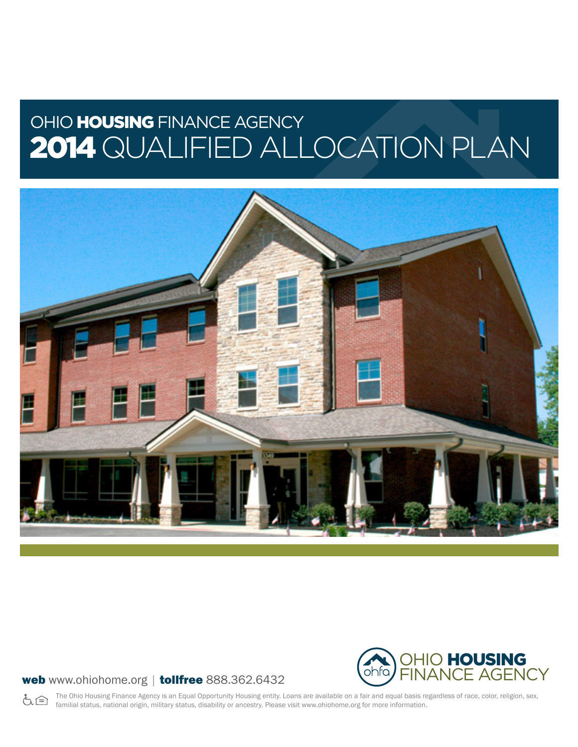# OHIO HOUSING FINANCE AGENCY 2014 QUALIFIED ALLOCATION PLAN



## web www.ohiohome.org | tollfree 888.362.6432



The Ohio Housing Finance Agency is an Equal Opportunity Housing entity. Loans are available on a fair and equal basis regardless of race, color, religion, sex, も合 familial status, national origin, military status, disability or ancestry. Please visit www.ohiohome.org for more information.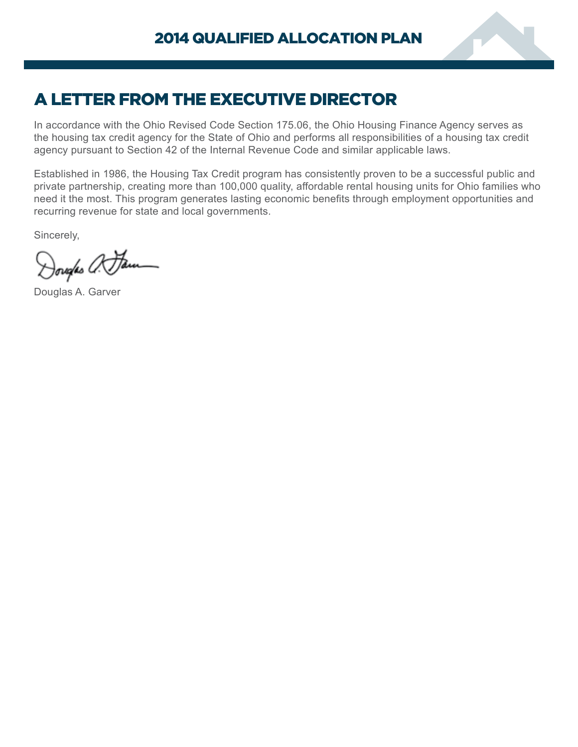

# A LETTER FROM THE EXECUTIVE DIRECTOR

In accordance with the Ohio Revised Code Section 175.06, the Ohio Housing Finance Agency serves as the housing tax credit agency for the State of Ohio and performs all responsibilities of a housing tax credit agency pursuant to Section 42 of the Internal Revenue Code and similar applicable laws.

Established in 1986, the Housing Tax Credit program has consistently proven to be a successful public and private partnership, creating more than 100,000 quality, affordable rental housing units for Ohio families who need it the most. This program generates lasting economic benefits through employment opportunities and recurring revenue for state and local governments.

Sincerely,

)ovales *0*: <del>Ja</del>

Douglas A. Garver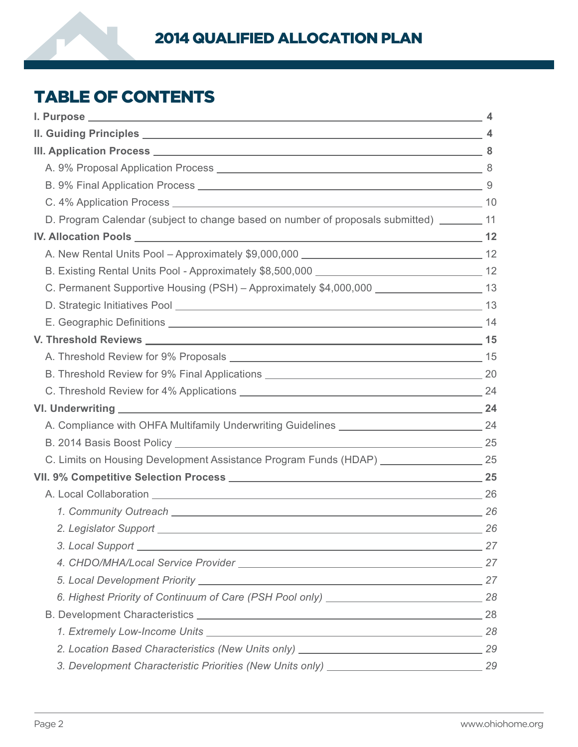

# TABLE OF CONTENTS

| D. Program Calendar (subject to change based on number of proposals submitted) ________ 11      |  |
|-------------------------------------------------------------------------------------------------|--|
|                                                                                                 |  |
|                                                                                                 |  |
|                                                                                                 |  |
| C. Permanent Supportive Housing (PSH) - Approximately \$4,000,000 ______________________ 13     |  |
|                                                                                                 |  |
|                                                                                                 |  |
|                                                                                                 |  |
|                                                                                                 |  |
|                                                                                                 |  |
|                                                                                                 |  |
| VI. Underwriting 24                                                                             |  |
| A. Compliance with OHFA Multifamily Underwriting Guidelines ________________________________24  |  |
|                                                                                                 |  |
| C. Limits on Housing Development Assistance Program Funds (HDAP) ______________________ 25      |  |
|                                                                                                 |  |
|                                                                                                 |  |
|                                                                                                 |  |
| 2. Legislator Support 26                                                                        |  |
| 3. Local Support 27                                                                             |  |
|                                                                                                 |  |
|                                                                                                 |  |
|                                                                                                 |  |
|                                                                                                 |  |
|                                                                                                 |  |
|                                                                                                 |  |
| 3. Development Characteristic Priorities (New Units only) ___________________________________29 |  |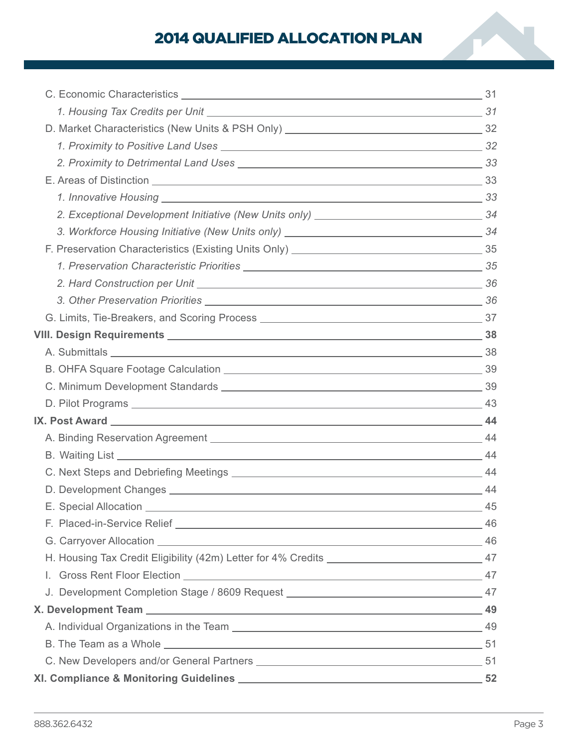# 2014 QUALIFIED ALLOCATION PLAN

| E. Special Allocation                                                                             | 45 |
|---------------------------------------------------------------------------------------------------|----|
|                                                                                                   |    |
|                                                                                                   |    |
| H. Housing Tax Credit Eligibility (42m) Letter for 4% Credits _________________________________47 |    |
|                                                                                                   |    |
| J. Development Completion Stage / 8609 Request __________________________________ 47              |    |
|                                                                                                   |    |
|                                                                                                   |    |
|                                                                                                   |    |
|                                                                                                   |    |
|                                                                                                   |    |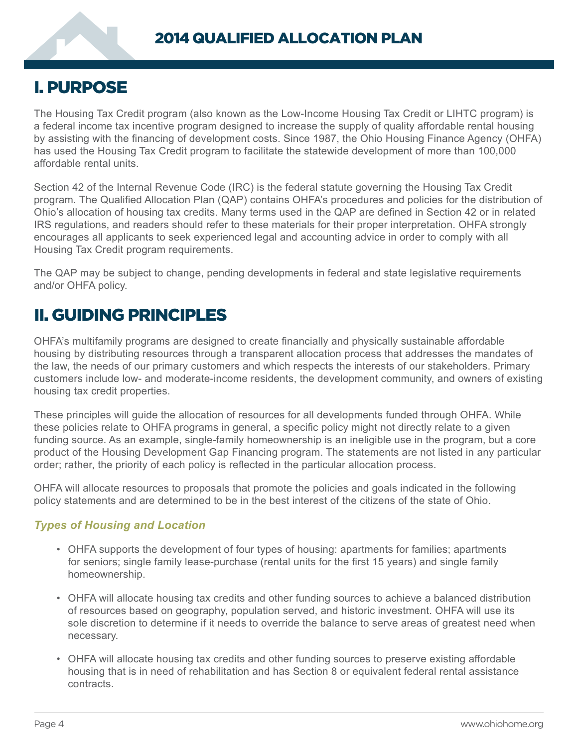# <span id="page-5-0"></span>I. PURPOSE

The Housing Tax Credit program (also known as the Low-Income Housing Tax Credit or LIHTC program) is a federal income tax incentive program designed to increase the supply of quality affordable rental housing by assisting with the financing of development costs. Since 1987, the Ohio Housing Finance Agency (OHFA) has used the Housing Tax Credit program to facilitate the statewide development of more than 100,000 affordable rental units.

Section 42 of the Internal Revenue Code (IRC) is the federal statute governing the Housing Tax Credit program. The Qualified Allocation Plan (QAP) contains OHFA's procedures and policies for the distribution of Ohio's allocation of housing tax credits. Many terms used in the QAP are defined in Section 42 or in related IRS regulations, and readers should refer to these materials for their proper interpretation. OHFA strongly encourages all applicants to seek experienced legal and accounting advice in order to comply with all Housing Tax Credit program requirements.

The QAP may be subject to change, pending developments in federal and state legislative requirements and/or OHFA policy.

# II. GUIDING PRINCIPLES

OHFA's multifamily programs are designed to create financially and physically sustainable affordable housing by distributing resources through a transparent allocation process that addresses the mandates of the law, the needs of our primary customers and which respects the interests of our stakeholders. Primary customers include low- and moderate-income residents, the development community, and owners of existing housing tax credit properties.

These principles will guide the allocation of resources for all developments funded through OHFA. While these policies relate to OHFA programs in general, a specific policy might not directly relate to a given funding source. As an example, single-family homeownership is an ineligible use in the program, but a core product of the Housing Development Gap Financing program. The statements are not listed in any particular order; rather, the priority of each policy is reflected in the particular allocation process.

OHFA will allocate resources to proposals that promote the policies and goals indicated in the following policy statements and are determined to be in the best interest of the citizens of the state of Ohio.

# *Types of Housing and Location*

- OHFA supports the development of four types of housing: apartments for families; apartments for seniors; single family lease-purchase (rental units for the first 15 years) and single family homeownership.
- OHFA will allocate housing tax credits and other funding sources to achieve a balanced distribution of resources based on geography, population served, and historic investment. OHFA will use its sole discretion to determine if it needs to override the balance to serve areas of greatest need when necessary.
- OHFA will allocate housing tax credits and other funding sources to preserve existing affordable housing that is in need of rehabilitation and has Section 8 or equivalent federal rental assistance contracts.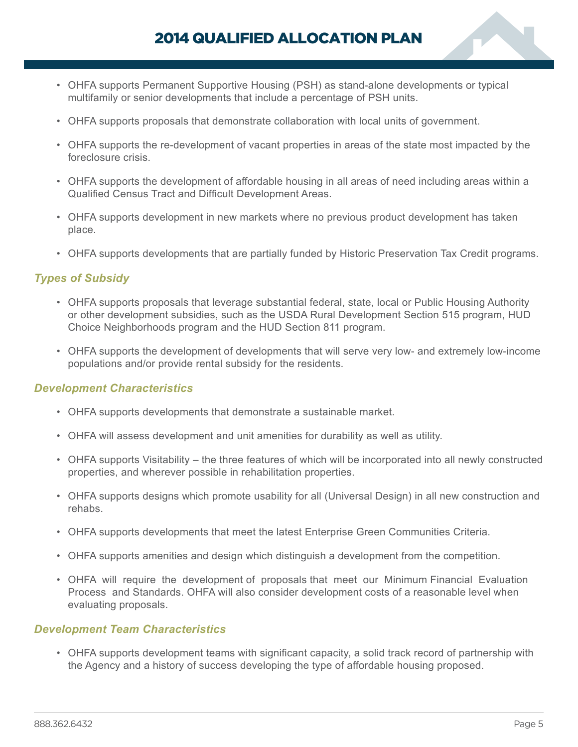- OHFA supports Permanent Supportive Housing (PSH) as stand-alone developments or typical multifamily or senior developments that include a percentage of PSH units.
- OHFA supports proposals that demonstrate collaboration with local units of government.
- OHFA supports the re-development of vacant properties in areas of the state most impacted by the foreclosure crisis.
- OHFA supports the development of affordable housing in all areas of need including areas within a Qualified Census Tract and Difficult Development Areas.
- OHFA supports development in new markets where no previous product development has taken place.
- OHFA supports developments that are partially funded by Historic Preservation Tax Credit programs.

# *Types of Subsidy*

- OHFA supports proposals that leverage substantial federal, state, local or Public Housing Authority or other development subsidies, such as the USDA Rural Development Section 515 program, HUD Choice Neighborhoods program and the HUD Section 811 program.
- OHFA supports the development of developments that will serve very low- and extremely low-income populations and/or provide rental subsidy for the residents.

### *Development Characteristics*

- OHFA supports developments that demonstrate a sustainable market.
- OHFA will assess development and unit amenities for durability as well as utility.
- OHFA supports Visitability the three features of which will be incorporated into all newly constructed properties, and wherever possible in rehabilitation properties.
- OHFA supports designs which promote usability for all (Universal Design) in all new construction and rehabs.
- OHFA supports developments that meet the latest Enterprise Green Communities Criteria.
- OHFA supports amenities and design which distinguish a development from the competition.
- OHFA will require the development of proposals that meet our Minimum Financial Evaluation Process and Standards. OHFA will also consider development costs of a reasonable level when evaluating proposals.

#### *Development Team Characteristics*

• OHFA supports development teams with significant capacity, a solid track record of partnership with the Agency and a history of success developing the type of affordable housing proposed.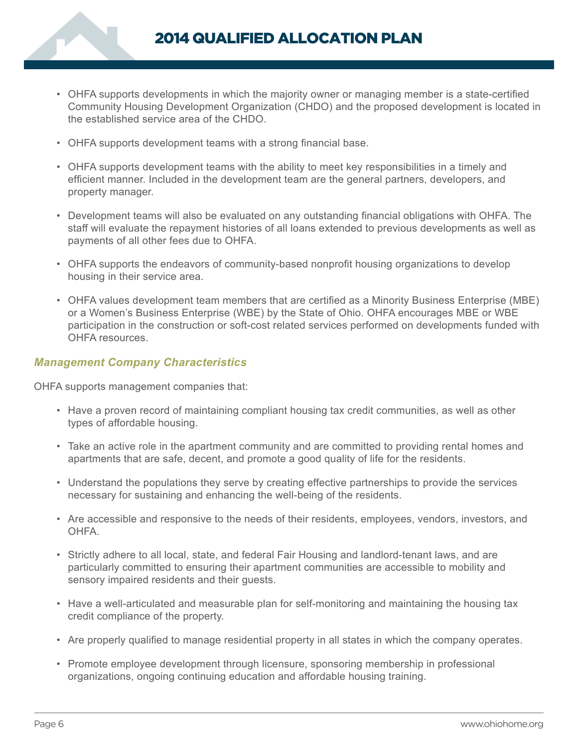

- OHFA supports developments in which the majority owner or managing member is a state-certified Community Housing Development Organization (CHDO) and the proposed development is located in the established service area of the CHDO.
- OHFA supports development teams with a strong financial base.
- OHFA supports development teams with the ability to meet key responsibilities in a timely and efficient manner. Included in the development team are the general partners, developers, and property manager.
- Development teams will also be evaluated on any outstanding financial obligations with OHFA. The staff will evaluate the repayment histories of all loans extended to previous developments as well as payments of all other fees due to OHFA.
- OHFA supports the endeavors of community-based nonprofit housing organizations to develop housing in their service area.
- OHFA values development team members that are certified as a Minority Business Enterprise (MBE) or a Women's Business Enterprise (WBE) by the State of Ohio. OHFA encourages MBE or WBE participation in the construction or soft-cost related services performed on developments funded with OHFA resources.

## *Management Company Characteristics*

OHFA supports management companies that:

- Have a proven record of maintaining compliant housing tax credit communities, as well as other types of affordable housing.
- Take an active role in the apartment community and are committed to providing rental homes and apartments that are safe, decent, and promote a good quality of life for the residents.
- Understand the populations they serve by creating effective partnerships to provide the services necessary for sustaining and enhancing the well-being of the residents.
- Are accessible and responsive to the needs of their residents, employees, vendors, investors, and **OHFA**
- Strictly adhere to all local, state, and federal Fair Housing and landlord-tenant laws, and are particularly committed to ensuring their apartment communities are accessible to mobility and sensory impaired residents and their guests.
- Have a well-articulated and measurable plan for self-monitoring and maintaining the housing tax credit compliance of the property.
- Are properly qualified to manage residential property in all states in which the company operates.
- Promote employee development through licensure, sponsoring membership in professional organizations, ongoing continuing education and affordable housing training.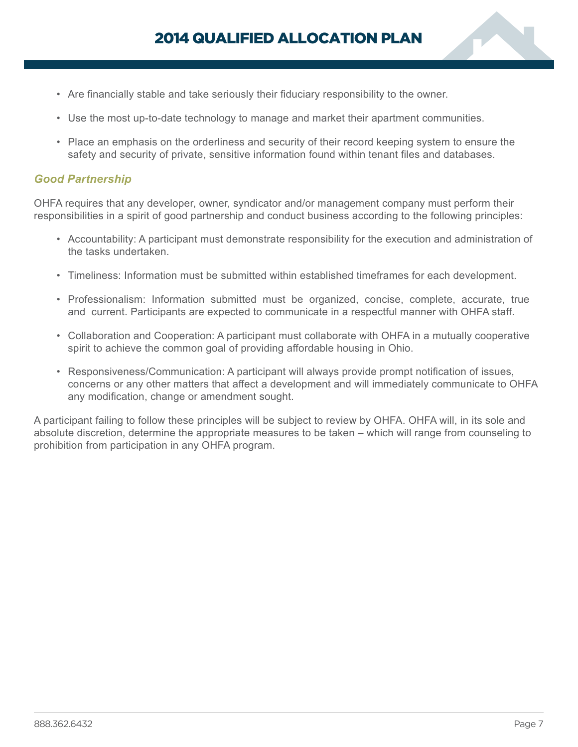- Are financially stable and take seriously their fiduciary responsibility to the owner.
- Use the most up-to-date technology to manage and market their apartment communities.
- Place an emphasis on the orderliness and security of their record keeping system to ensure the safety and security of private, sensitive information found within tenant files and databases.

### *Good Partnership*

OHFA requires that any developer, owner, syndicator and/or management company must perform their responsibilities in a spirit of good partnership and conduct business according to the following principles:

- Accountability: A participant must demonstrate responsibility for the execution and administration of the tasks undertaken.
- Timeliness: Information must be submitted within established timeframes for each development.
- Professionalism: Information submitted must be organized, concise, complete, accurate, true and current. Participants are expected to communicate in a respectful manner with OHFA staff.
- Collaboration and Cooperation: A participant must collaborate with OHFA in a mutually cooperative spirit to achieve the common goal of providing affordable housing in Ohio.
- Responsiveness/Communication: A participant will always provide prompt notification of issues, concerns or any other matters that affect a development and will immediately communicate to OHFA any modification, change or amendment sought.

A participant failing to follow these principles will be subject to review by OHFA. OHFA will, in its sole and absolute discretion, determine the appropriate measures to be taken – which will range from counseling to prohibition from participation in any OHFA program.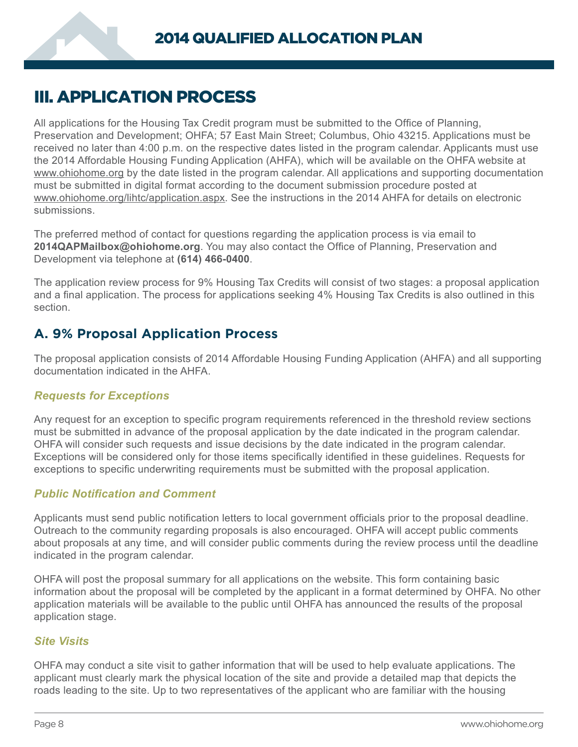# <span id="page-9-0"></span>III. APPLICATION PROCESS

All applications for the Housing Tax Credit program must be submitted to the Office of Planning, Preservation and Development; OHFA; 57 East Main Street; Columbus, Ohio 43215. Applications must be received no later than 4:00 p.m. on the respective dates listed in the program calendar. Applicants must use the 2014 Affordable Housing Funding Application (AHFA), which will be available on the OHFA website at www.ohiohome.org by the date listed in the program calendar. All applications and supporting documentation must be submitted in digital format according to the document submission procedure posted at www.ohiohome.org/lihtc/application.aspx. See the instructions in the 2014 AHFA for details on electronic submissions.

The preferred method of contact for questions regarding the application process is via email to **2014QAPMailbox@ohiohome.org**. You may also contact the Office of Planning, Preservation and Development via telephone at **(614) 466-0400**.

The application review process for 9% Housing Tax Credits will consist of two stages: a proposal application and a final application. The process for applications seeking 4% Housing Tax Credits is also outlined in this section.

# **A. 9% Proposal Application Process**

The proposal application consists of 2014 Affordable Housing Funding Application (AHFA) and all supporting documentation indicated in the AHFA.

# *Requests for Exceptions*

Any request for an exception to specific program requirements referenced in the threshold review sections must be submitted in advance of the proposal application by the date indicated in the program calendar. OHFA will consider such requests and issue decisions by the date indicated in the program calendar. Exceptions will be considered only for those items specifically identified in these guidelines. Requests for exceptions to specific underwriting requirements must be submitted with the proposal application.

# *Public Notification and Comment*

Applicants must send public notification letters to local government officials prior to the proposal deadline. Outreach to the community regarding proposals is also encouraged. OHFA will accept public comments about proposals at any time, and will consider public comments during the review process until the deadline indicated in the program calendar.

OHFA will post the proposal summary for all applications on the website. This form containing basic information about the proposal will be completed by the applicant in a format determined by OHFA. No other application materials will be available to the public until OHFA has announced the results of the proposal application stage.

### *Site Visits*

OHFA may conduct a site visit to gather information that will be used to help evaluate applications. The applicant must clearly mark the physical location of the site and provide a detailed map that depicts the roads leading to the site. Up to two representatives of the applicant who are familiar with the housing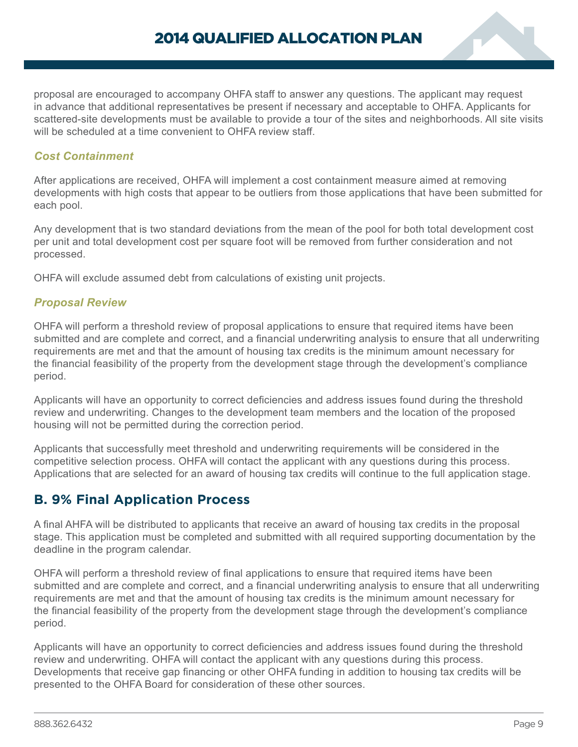<span id="page-10-0"></span>proposal are encouraged to accompany OHFA staff to answer any questions. The applicant may request in advance that additional representatives be present if necessary and acceptable to OHFA. Applicants for scattered-site developments must be available to provide a tour of the sites and neighborhoods. All site visits will be scheduled at a time convenient to OHFA review staff.

# *Cost Containment*

After applications are received, OHFA will implement a cost containment measure aimed at removing developments with high costs that appear to be outliers from those applications that have been submitted for each pool.

Any development that is two standard deviations from the mean of the pool for both total development cost per unit and total development cost per square foot will be removed from further consideration and not processed.

OHFA will exclude assumed debt from calculations of existing unit projects.

### *Proposal Review*

OHFA will perform a threshold review of proposal applications to ensure that required items have been submitted and are complete and correct, and a financial underwriting analysis to ensure that all underwriting requirements are met and that the amount of housing tax credits is the minimum amount necessary for the financial feasibility of the property from the development stage through the development's compliance period.

Applicants will have an opportunity to correct deficiencies and address issues found during the threshold review and underwriting. Changes to the development team members and the location of the proposed housing will not be permitted during the correction period.

Applicants that successfully meet threshold and underwriting requirements will be considered in the competitive selection process. OHFA will contact the applicant with any questions during this process. Applications that are selected for an award of housing tax credits will continue to the full application stage.

# **B. 9% Final Application Process**

A final AHFA will be distributed to applicants that receive an award of housing tax credits in the proposal stage. This application must be completed and submitted with all required supporting documentation by the deadline in the program calendar.

OHFA will perform a threshold review of final applications to ensure that required items have been submitted and are complete and correct, and a financial underwriting analysis to ensure that all underwriting requirements are met and that the amount of housing tax credits is the minimum amount necessary for the financial feasibility of the property from the development stage through the development's compliance period.

Applicants will have an opportunity to correct deficiencies and address issues found during the threshold review and underwriting. OHFA will contact the applicant with any questions during this process. Developments that receive gap financing or other OHFA funding in addition to housing tax credits will be presented to the OHFA Board for consideration of these other sources.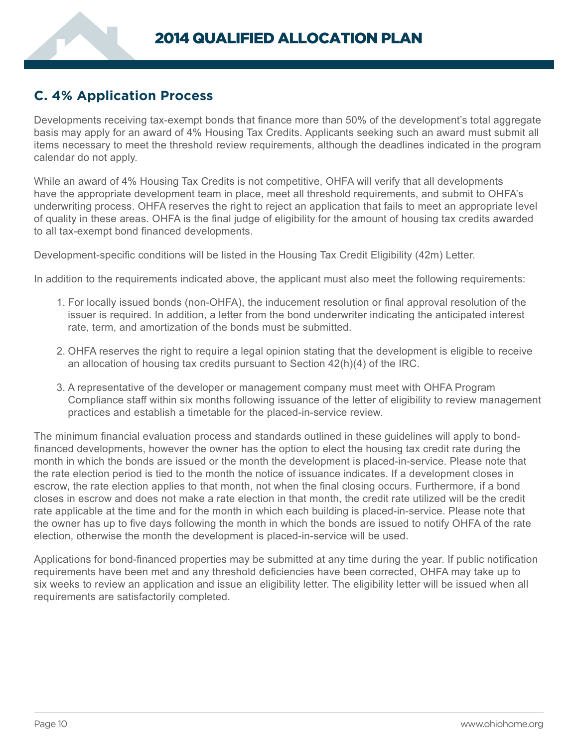# <span id="page-11-0"></span>**C. 4% Application Process**

Developments receiving tax-exempt bonds that finance more than 50% of the development's total aggregate basis may apply for an award of 4% Housing Tax Credits. Applicants seeking such an award must submit all items necessary to meet the threshold review requirements, although the deadlines indicated in the program calendar do not apply.

While an award of 4% Housing Tax Credits is not competitive, OHFA will verify that all developments have the appropriate development team in place, meet all threshold requirements, and submit to OHFA's underwriting process. OHFA reserves the right to reject an application that fails to meet an appropriate level of quality in these areas. OHFA is the final judge of eligibility for the amount of housing tax credits awarded to all tax-exempt bond financed developments.

Development-specific conditions will be listed in the Housing Tax Credit Eligibility (42m) Letter.

In addition to the requirements indicated above, the applicant must also meet the following requirements:

- 1. For locally issued bonds (non-OHFA), the inducement resolution or final approval resolution of the issuer is required. In addition, a letter from the bond underwriter indicating the anticipated interest rate, term, and amortization of the bonds must be submitted.
- 2. OHFA reserves the right to require a legal opinion stating that the development is eligible to receive an allocation of housing tax credits pursuant to Section 42(h)(4) of the IRC.
- 3. A representative of the developer or management company must meet with OHFA Program Compliance staff within six months following issuance of the letter of eligibility to review management practices and establish a timetable for the placed-in-service review.

The minimum financial evaluation process and standards outlined in these guidelines will apply to bondfinanced developments, however the owner has the option to elect the housing tax credit rate during the month in which the bonds are issued or the month the development is placed-in-service. Please note that the rate election period is tied to the month the notice of issuance indicates. If a development closes in escrow, the rate election applies to that month, not when the final closing occurs. Furthermore, if a bond closes in escrow and does not make a rate election in that month, the credit rate utilized will be the credit rate applicable at the time and for the month in which each building is placed-in-service. Please note that the owner has up to five days following the month in which the bonds are issued to notify OHFA of the rate election, otherwise the month the development is placed-in-service will be used.

Applications for bond-financed properties may be submitted at any time during the year. If public notification requirements have been met and any threshold deficiencies have been corrected, OHFA may take up to six weeks to review an application and issue an eligibility letter. The eligibility letter will be issued when all requirements are satisfactorily completed.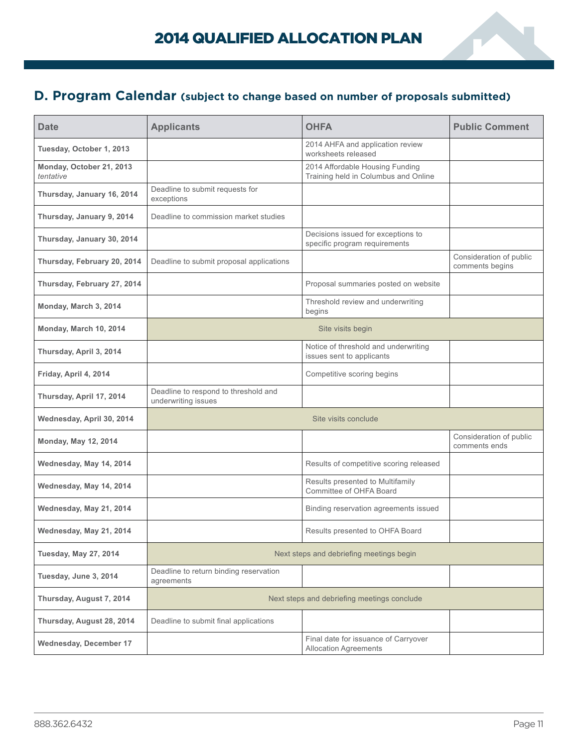# <span id="page-12-0"></span>**D. Program Calendar (subject to change based on number of proposals submitted)**

| <b>Date</b>                           | <b>Applicants</b>                                           | <b>OHFA</b>                                                             | <b>Public Comment</b>                      |
|---------------------------------------|-------------------------------------------------------------|-------------------------------------------------------------------------|--------------------------------------------|
| Tuesday, October 1, 2013              |                                                             | 2014 AHFA and application review<br>worksheets released                 |                                            |
| Monday, October 21, 2013<br>tentative |                                                             | 2014 Affordable Housing Funding<br>Training held in Columbus and Online |                                            |
| Thursday, January 16, 2014            | Deadline to submit requests for<br>exceptions               |                                                                         |                                            |
| Thursday, January 9, 2014             | Deadline to commission market studies                       |                                                                         |                                            |
| Thursday, January 30, 2014            |                                                             | Decisions issued for exceptions to<br>specific program requirements     |                                            |
| Thursday, February 20, 2014           | Deadline to submit proposal applications                    |                                                                         | Consideration of public<br>comments begins |
| Thursday, February 27, 2014           |                                                             | Proposal summaries posted on website                                    |                                            |
| Monday, March 3, 2014                 |                                                             | Threshold review and underwriting<br>begins                             |                                            |
| Monday, March 10, 2014                |                                                             | Site visits begin                                                       |                                            |
| Thursday, April 3, 2014               |                                                             | Notice of threshold and underwriting<br>issues sent to applicants       |                                            |
| Friday, April 4, 2014                 |                                                             | Competitive scoring begins                                              |                                            |
| Thursday, April 17, 2014              | Deadline to respond to threshold and<br>underwriting issues |                                                                         |                                            |
| Wednesday, April 30, 2014             |                                                             | Site visits conclude                                                    |                                            |
| <b>Monday, May 12, 2014</b>           |                                                             |                                                                         | Consideration of public<br>comments ends   |
| Wednesday, May 14, 2014               |                                                             | Results of competitive scoring released                                 |                                            |
| Wednesday, May 14, 2014               |                                                             | Results presented to Multifamily<br>Committee of OHFA Board             |                                            |
| Wednesday, May 21, 2014               |                                                             | Binding reservation agreements issued                                   |                                            |
| Wednesday, May 21, 2014               |                                                             | Results presented to OHFA Board                                         |                                            |
| <b>Tuesday, May 27, 2014</b>          |                                                             | Next steps and debriefing meetings begin                                |                                            |
| Tuesday, June 3, 2014                 | Deadline to return binding reservation<br>agreements        |                                                                         |                                            |
| Thursday, August 7, 2014              | Next steps and debriefing meetings conclude                 |                                                                         |                                            |
| Thursday, August 28, 2014             | Deadline to submit final applications                       |                                                                         |                                            |
| Wednesday, December 17                |                                                             | Final date for issuance of Carryover<br><b>Allocation Agreements</b>    |                                            |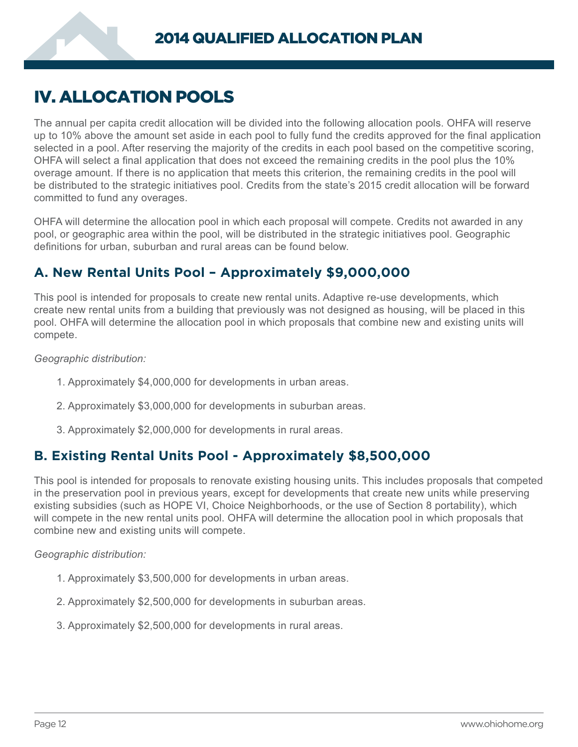# <span id="page-13-0"></span>IV. ALLOCATION POOLS

The annual per capita credit allocation will be divided into the following allocation pools. OHFA will reserve up to 10% above the amount set aside in each pool to fully fund the credits approved for the final application selected in a pool. After reserving the majority of the credits in each pool based on the competitive scoring, OHFA will select a final application that does not exceed the remaining credits in the pool plus the 10% overage amount. If there is no application that meets this criterion, the remaining credits in the pool will be distributed to the strategic initiatives pool. Credits from the state's 2015 credit allocation will be forward committed to fund any overages.

OHFA will determine the allocation pool in which each proposal will compete. Credits not awarded in any pool, or geographic area within the pool, will be distributed in the strategic initiatives pool. Geographic definitions for urban, suburban and rural areas can be found below.

# **A. New Rental Units Pool – Approximately \$9,000,000**

This pool is intended for proposals to create new rental units. Adaptive re-use developments, which create new rental units from a building that previously was not designed as housing, will be placed in this pool. OHFA will determine the allocation pool in which proposals that combine new and existing units will compete.

*Geographic distribution:*

- 1. Approximately \$4,000,000 for developments in urban areas.
- 2. Approximately \$3,000,000 for developments in suburban areas.
- 3. Approximately \$2,000,000 for developments in rural areas.

# **B. Existing Rental Units Pool - Approximately \$8,500,000**

This pool is intended for proposals to renovate existing housing units. This includes proposals that competed in the preservation pool in previous years, except for developments that create new units while preserving existing subsidies (such as HOPE VI, Choice Neighborhoods, or the use of Section 8 portability), which will compete in the new rental units pool. OHFA will determine the allocation pool in which proposals that combine new and existing units will compete.

# *Geographic distribution:*

- 1. Approximately \$3,500,000 for developments in urban areas.
- 2. Approximately \$2,500,000 for developments in suburban areas.
- 3. Approximately \$2,500,000 for developments in rural areas.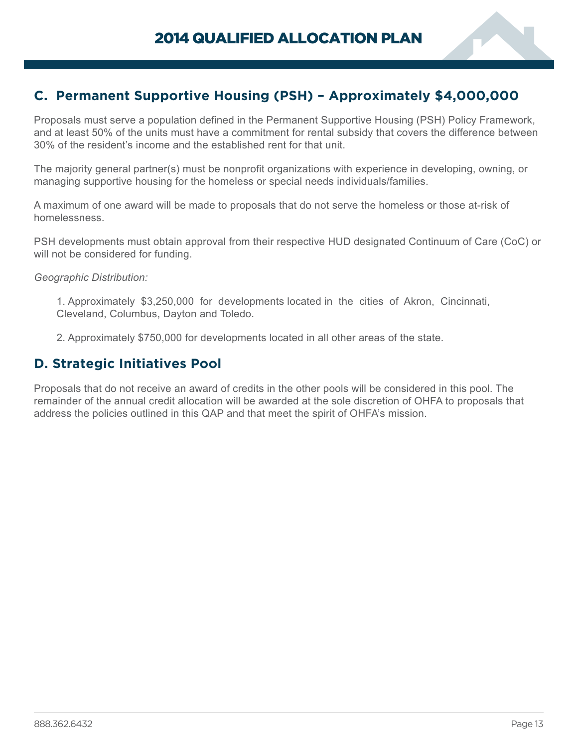<span id="page-14-0"></span>

Proposals must serve a population defined in the Permanent Supportive Housing (PSH) Policy Framework, and at least 50% of the units must have a commitment for rental subsidy that covers the difference between 30% of the resident's income and the established rent for that unit.

The majority general partner(s) must be nonprofit organizations with experience in developing, owning, or managing supportive housing for the homeless or special needs individuals/families.

A maximum of one award will be made to proposals that do not serve the homeless or those at-risk of homelessness.

PSH developments must obtain approval from their respective HUD designated Continuum of Care (CoC) or will not be considered for funding.

*Geographic Distribution:*

1. Approximately \$3,250,000 for developments located in the cities of Akron, Cincinnati, Cleveland, Columbus, Dayton and Toledo.

2. Approximately \$750,000 for developments located in all other areas of the state.

# **D. Strategic Initiatives Pool**

Proposals that do not receive an award of credits in the other pools will be considered in this pool. The remainder of the annual credit allocation will be awarded at the sole discretion of OHFA to proposals that address the policies outlined in this QAP and that meet the spirit of OHFA's mission.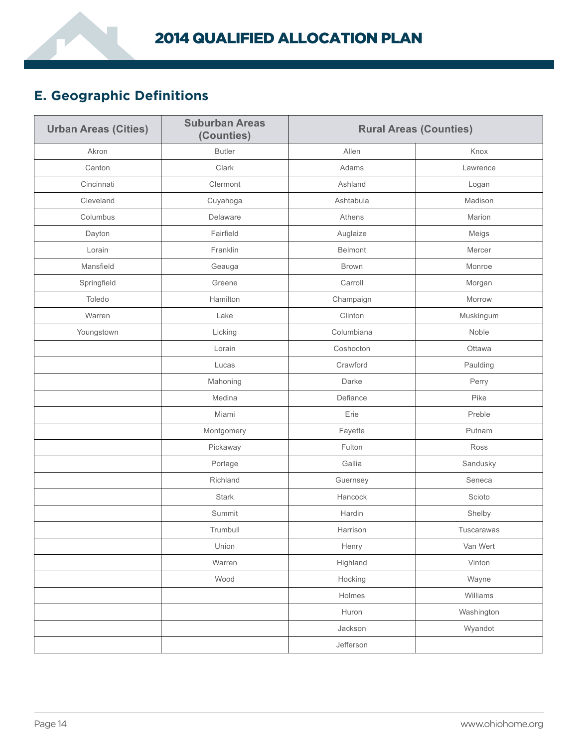# <span id="page-15-0"></span>**E. Geographic Definitions**

| <b>Urban Areas (Cities)</b> | <b>Suburban Areas</b><br>(Counties) | <b>Rural Areas (Counties)</b> |            |
|-----------------------------|-------------------------------------|-------------------------------|------------|
| Akron                       | <b>Butler</b>                       | Allen                         | Knox       |
| Canton                      | Clark                               | Adams                         | Lawrence   |
| Cincinnati                  | Clermont                            | Ashland                       | Logan      |
| Cleveland                   | Cuyahoga                            | Ashtabula                     | Madison    |
| Columbus                    | Delaware                            | Athens                        | Marion     |
| Dayton                      | Fairfield                           | Auglaize                      | Meigs      |
| Lorain                      | Franklin                            | Belmont                       | Mercer     |
| Mansfield                   | Geauga                              | <b>Brown</b>                  | Monroe     |
| Springfield                 | Greene                              | Carroll                       | Morgan     |
| Toledo                      | Hamilton                            | Champaign                     | Morrow     |
| Warren                      | Lake                                | Clinton                       | Muskingum  |
| Youngstown                  | Licking                             | Columbiana                    | Noble      |
|                             | Lorain                              | Coshocton                     | Ottawa     |
|                             | Lucas                               | Crawford                      | Paulding   |
|                             | Mahoning                            | Darke                         | Perry      |
|                             | Medina                              | Defiance                      | Pike       |
|                             | Miami                               | Erie                          | Preble     |
|                             | Montgomery                          | Fayette                       | Putnam     |
|                             | Pickaway                            | Fulton                        | Ross       |
|                             | Portage                             | Gallia                        | Sandusky   |
|                             | Richland                            | Guernsey                      | Seneca     |
|                             | <b>Stark</b>                        | Hancock                       | Scioto     |
|                             | Summit                              | Hardin                        | Shelby     |
|                             | Trumbull                            | Harrison                      | Tuscarawas |
|                             | Union                               | Henry                         | Van Wert   |
|                             | Warren                              | Highland                      | Vinton     |
|                             | Wood                                | Hocking                       | Wayne      |
|                             |                                     | Holmes                        | Williams   |
|                             |                                     | Huron                         | Washington |
|                             |                                     | Jackson                       | Wyandot    |
|                             |                                     | Jefferson                     |            |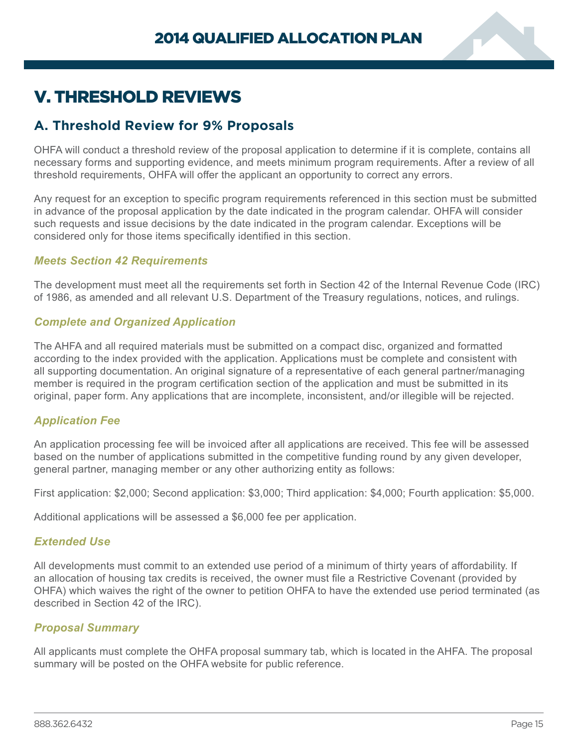

# <span id="page-16-0"></span>V. THRESHOLD REVIEWS

# **A. Threshold Review for 9% Proposals**

OHFA will conduct a threshold review of the proposal application to determine if it is complete, contains all necessary forms and supporting evidence, and meets minimum program requirements. After a review of all threshold requirements, OHFA will offer the applicant an opportunity to correct any errors.

Any request for an exception to specific program requirements referenced in this section must be submitted in advance of the proposal application by the date indicated in the program calendar. OHFA will consider such requests and issue decisions by the date indicated in the program calendar. Exceptions will be considered only for those items specifically identified in this section.

## *Meets Section 42 Requirements*

The development must meet all the requirements set forth in Section 42 of the Internal Revenue Code (IRC) of 1986, as amended and all relevant U.S. Department of the Treasury regulations, notices, and rulings.

# *Complete and Organized Application*

The AHFA and all required materials must be submitted on a compact disc, organized and formatted according to the index provided with the application. Applications must be complete and consistent with all supporting documentation. An original signature of a representative of each general partner/managing member is required in the program certification section of the application and must be submitted in its original, paper form. Any applications that are incomplete, inconsistent, and/or illegible will be rejected.

# *Application Fee*

An application processing fee will be invoiced after all applications are received. This fee will be assessed based on the number of applications submitted in the competitive funding round by any given developer, general partner, managing member or any other authorizing entity as follows:

First application: \$2,000; Second application: \$3,000; Third application: \$4,000; Fourth application: \$5,000.

Additional applications will be assessed a \$6,000 fee per application.

### *Extended Use*

All developments must commit to an extended use period of a minimum of thirty years of affordability. If an allocation of housing tax credits is received, the owner must file a Restrictive Covenant (provided by OHFA) which waives the right of the owner to petition OHFA to have the extended use period terminated (as described in Section 42 of the IRC).

### *Proposal Summary*

All applicants must complete the OHFA proposal summary tab, which is located in the AHFA. The proposal summary will be posted on the OHFA website for public reference.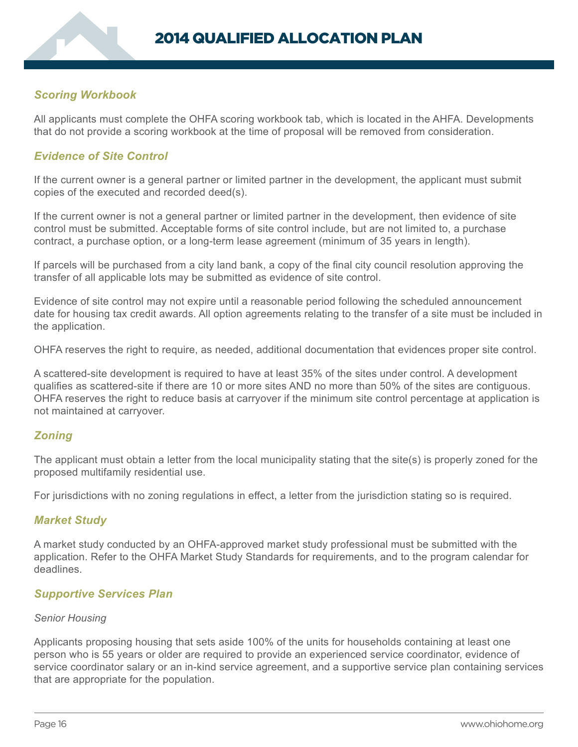# *Scoring Workbook*

All applicants must complete the OHFA scoring workbook tab, which is located in the AHFA. Developments that do not provide a scoring workbook at the time of proposal will be removed from consideration.

# *Evidence of Site Control*

If the current owner is a general partner or limited partner in the development, the applicant must submit copies of the executed and recorded deed(s).

If the current owner is not a general partner or limited partner in the development, then evidence of site control must be submitted. Acceptable forms of site control include, but are not limited to, a purchase contract, a purchase option, or a long-term lease agreement (minimum of 35 years in length).

If parcels will be purchased from a city land bank, a copy of the final city council resolution approving the transfer of all applicable lots may be submitted as evidence of site control.

Evidence of site control may not expire until a reasonable period following the scheduled announcement date for housing tax credit awards. All option agreements relating to the transfer of a site must be included in the application.

OHFA reserves the right to require, as needed, additional documentation that evidences proper site control.

A scattered-site development is required to have at least 35% of the sites under control. A development qualifies as scattered-site if there are 10 or more sites AND no more than 50% of the sites are contiguous. OHFA reserves the right to reduce basis at carryover if the minimum site control percentage at application is not maintained at carryover.

# *Zoning*

The applicant must obtain a letter from the local municipality stating that the site(s) is properly zoned for the proposed multifamily residential use.

For jurisdictions with no zoning regulations in effect, a letter from the jurisdiction stating so is required.

### *Market Study*

A market study conducted by an OHFA-approved market study professional must be submitted with the application. Refer to the OHFA Market Study Standards for requirements, and to the program calendar for deadlines.

### *Supportive Services Plan*

#### *Senior Housing*

Applicants proposing housing that sets aside 100% of the units for households containing at least one person who is 55 years or older are required to provide an experienced service coordinator, evidence of service coordinator salary or an in-kind service agreement, and a supportive service plan containing services that are appropriate for the population.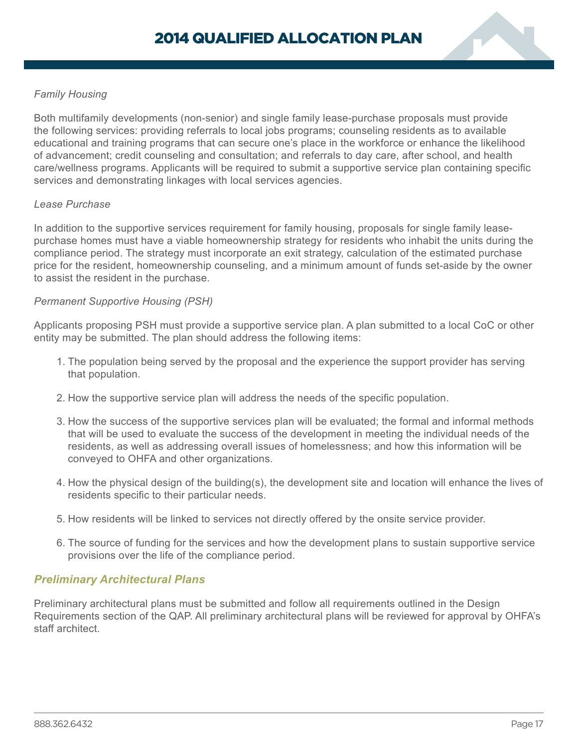

### *Family Housing*

Both multifamily developments (non-senior) and single family lease-purchase proposals must provide the following services: providing referrals to local jobs programs; counseling residents as to available educational and training programs that can secure one's place in the workforce or enhance the likelihood of advancement; credit counseling and consultation; and referrals to day care, after school, and health care/wellness programs. Applicants will be required to submit a supportive service plan containing specific services and demonstrating linkages with local services agencies.

#### *Lease Purchase*

In addition to the supportive services requirement for family housing, proposals for single family leasepurchase homes must have a viable homeownership strategy for residents who inhabit the units during the compliance period. The strategy must incorporate an exit strategy, calculation of the estimated purchase price for the resident, homeownership counseling, and a minimum amount of funds set-aside by the owner to assist the resident in the purchase.

#### *Permanent Supportive Housing (PSH)*

Applicants proposing PSH must provide a supportive service plan. A plan submitted to a local CoC or other entity may be submitted. The plan should address the following items:

- 1. The population being served by the proposal and the experience the support provider has serving that population.
- 2. How the supportive service plan will address the needs of the specific population.
- 3. How the success of the supportive services plan will be evaluated; the formal and informal methods that will be used to evaluate the success of the development in meeting the individual needs of the residents, as well as addressing overall issues of homelessness; and how this information will be conveyed to OHFA and other organizations.
- 4. How the physical design of the building(s), the development site and location will enhance the lives of residents specific to their particular needs.
- 5. How residents will be linked to services not directly offered by the onsite service provider.
- 6. The source of funding for the services and how the development plans to sustain supportive service provisions over the life of the compliance period.

### *Preliminary Architectural Plans*

Preliminary architectural plans must be submitted and follow all requirements outlined in the Design Requirements section of the QAP. All preliminary architectural plans will be reviewed for approval by OHFA's staff architect.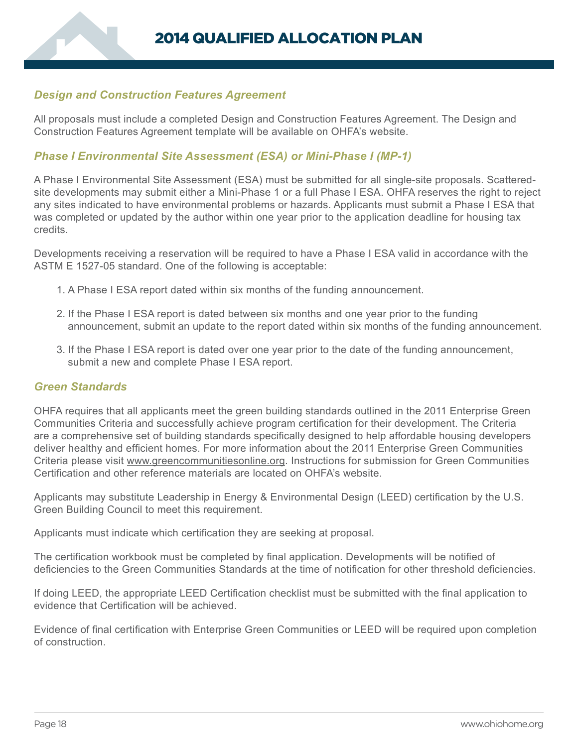## *Design and Construction Features Agreement*

All proposals must include a completed Design and Construction Features Agreement. The Design and Construction Features Agreement template will be available on OHFA's website.

### *Phase I Environmental Site Assessment (ESA) or Mini-Phase I (MP-1)*

A Phase I Environmental Site Assessment (ESA) must be submitted for all single-site proposals. Scatteredsite developments may submit either a Mini-Phase 1 or a full Phase I ESA. OHFA reserves the right to reject any sites indicated to have environmental problems or hazards. Applicants must submit a Phase I ESA that was completed or updated by the author within one year prior to the application deadline for housing tax credits.

Developments receiving a reservation will be required to have a Phase I ESA valid in accordance with the ASTM E 1527-05 standard. One of the following is acceptable:

- 1. A Phase I ESA report dated within six months of the funding announcement.
- 2. If the Phase I ESA report is dated between six months and one year prior to the funding announcement, submit an update to the report dated within six months of the funding announcement.
- 3. If the Phase I ESA report is dated over one year prior to the date of the funding announcement, submit a new and complete Phase I ESA report.

#### *Green Standards*

OHFA requires that all applicants meet the green building standards outlined in the 2011 Enterprise Green Communities Criteria and successfully achieve program certification for their development. The Criteria are a comprehensive set of building standards specifically designed to help affordable housing developers deliver healthy and efficient homes. For more information about the 2011 Enterprise Green Communities Criteria please visit www.greencommunitiesonline.org. Instructions for submission for Green Communities Certification and other reference materials are located on OHFA's website.

Applicants may substitute Leadership in Energy & Environmental Design (LEED) certification by the U.S. Green Building Council to meet this requirement.

Applicants must indicate which certification they are seeking at proposal.

The certification workbook must be completed by final application. Developments will be notified of deficiencies to the Green Communities Standards at the time of notification for other threshold deficiencies.

If doing LEED, the appropriate LEED Certification checklist must be submitted with the final application to evidence that Certification will be achieved.

Evidence of final certification with Enterprise Green Communities or LEED will be required upon completion of construction.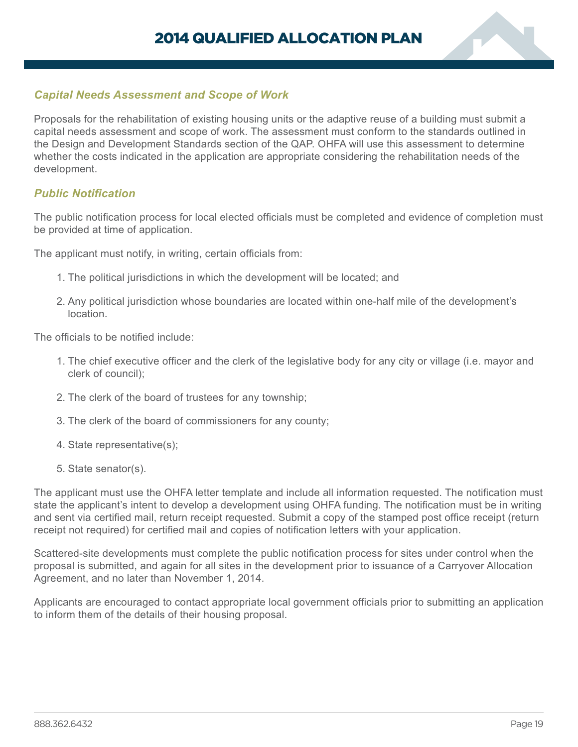

## *Capital Needs Assessment and Scope of Work*

Proposals for the rehabilitation of existing housing units or the adaptive reuse of a building must submit a capital needs assessment and scope of work. The assessment must conform to the standards outlined in the Design and Development Standards section of the QAP. OHFA will use this assessment to determine whether the costs indicated in the application are appropriate considering the rehabilitation needs of the development.

#### *Public Notification*

The public notification process for local elected officials must be completed and evidence of completion must be provided at time of application.

The applicant must notify, in writing, certain officials from:

- 1. The political jurisdictions in which the development will be located; and
- 2. Any political jurisdiction whose boundaries are located within one-half mile of the development's location.

The officials to be notified include:

- 1. The chief executive officer and the clerk of the legislative body for any city or village (i.e. mayor and clerk of council);
- 2. The clerk of the board of trustees for any township;
- 3. The clerk of the board of commissioners for any county;
- 4. State representative(s);
- 5. State senator(s).

The applicant must use the OHFA letter template and include all information requested. The notification must state the applicant's intent to develop a development using OHFA funding. The notification must be in writing and sent via certified mail, return receipt requested. Submit a copy of the stamped post office receipt (return receipt not required) for certified mail and copies of notification letters with your application.

Scattered-site developments must complete the public notification process for sites under control when the proposal is submitted, and again for all sites in the development prior to issuance of a Carryover Allocation Agreement, and no later than November 1, 2014.

Applicants are encouraged to contact appropriate local government officials prior to submitting an application to inform them of the details of their housing proposal.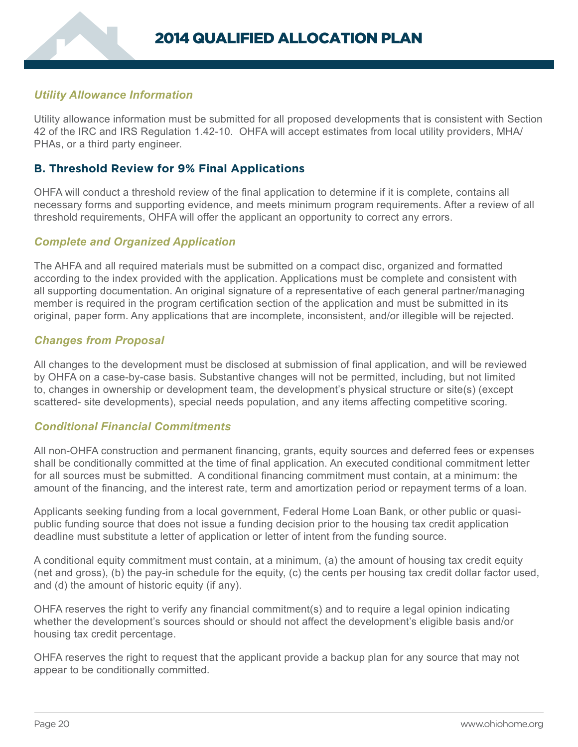# <span id="page-21-0"></span>*Utility Allowance Information*

Utility allowance information must be submitted for all proposed developments that is consistent with Section 42 of the IRC and IRS Regulation 1.42-10. OHFA will accept estimates from local utility providers, MHA/ PHAs, or a third party engineer.

## **B. Threshold Review for 9% Final Applications**

OHFA will conduct a threshold review of the final application to determine if it is complete, contains all necessary forms and supporting evidence, and meets minimum program requirements. After a review of all threshold requirements, OHFA will offer the applicant an opportunity to correct any errors.

### *Complete and Organized Application*

The AHFA and all required materials must be submitted on a compact disc, organized and formatted according to the index provided with the application. Applications must be complete and consistent with all supporting documentation. An original signature of a representative of each general partner/managing member is required in the program certification section of the application and must be submitted in its original, paper form. Any applications that are incomplete, inconsistent, and/or illegible will be rejected.

### *Changes from Proposal*

All changes to the development must be disclosed at submission of final application, and will be reviewed by OHFA on a case-by-case basis. Substantive changes will not be permitted, including, but not limited to, changes in ownership or development team, the development's physical structure or site(s) (except scattered- site developments), special needs population, and any items affecting competitive scoring.

### *Conditional Financial Commitments*

All non-OHFA construction and permanent financing, grants, equity sources and deferred fees or expenses shall be conditionally committed at the time of final application. An executed conditional commitment letter for all sources must be submitted. A conditional financing commitment must contain, at a minimum: the amount of the financing, and the interest rate, term and amortization period or repayment terms of a loan.

Applicants seeking funding from a local government, Federal Home Loan Bank, or other public or quasipublic funding source that does not issue a funding decision prior to the housing tax credit application deadline must substitute a letter of application or letter of intent from the funding source.

A conditional equity commitment must contain, at a minimum, (a) the amount of housing tax credit equity (net and gross), (b) the pay-in schedule for the equity, (c) the cents per housing tax credit dollar factor used, and (d) the amount of historic equity (if any).

OHFA reserves the right to verify any financial commitment(s) and to require a legal opinion indicating whether the development's sources should or should not affect the development's eligible basis and/or housing tax credit percentage.

OHFA reserves the right to request that the applicant provide a backup plan for any source that may not appear to be conditionally committed.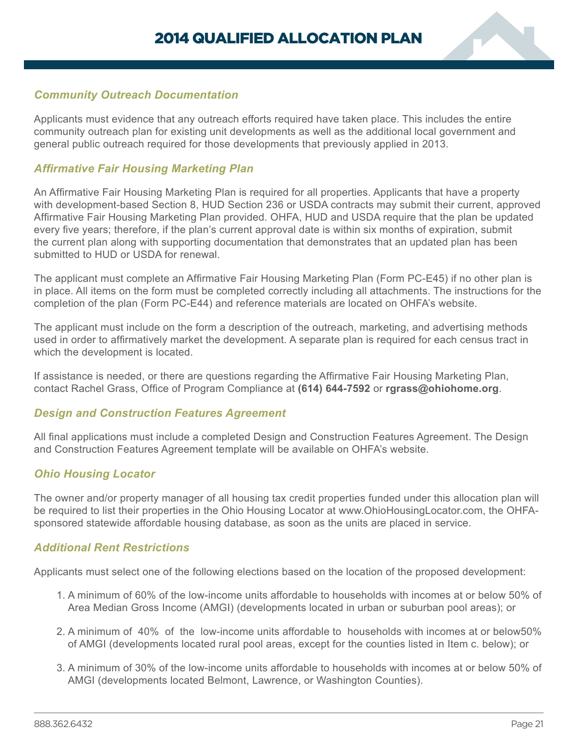

## *Community Outreach Documentation*

Applicants must evidence that any outreach efforts required have taken place. This includes the entire community outreach plan for existing unit developments as well as the additional local government and general public outreach required for those developments that previously applied in 2013.

## *Affirmative Fair Housing Marketing Plan*

An Affirmative Fair Housing Marketing Plan is required for all properties. Applicants that have a property with development-based Section 8, HUD Section 236 or USDA contracts may submit their current, approved Affirmative Fair Housing Marketing Plan provided. OHFA, HUD and USDA require that the plan be updated every five years; therefore, if the plan's current approval date is within six months of expiration, submit the current plan along with supporting documentation that demonstrates that an updated plan has been submitted to HUD or USDA for renewal.

The applicant must complete an Affirmative Fair Housing Marketing Plan (Form PC-E45) if no other plan is in place. All items on the form must be completed correctly including all attachments. The instructions for the completion of the plan (Form PC-E44) and reference materials are located on OHFA's website.

The applicant must include on the form a description of the outreach, marketing, and advertising methods used in order to affirmatively market the development. A separate plan is required for each census tract in which the development is located.

If assistance is needed, or there are questions regarding the Affirmative Fair Housing Marketing Plan, contact Rachel Grass, Office of Program Compliance at **(614) 644-7592** or **rgrass@ohiohome.org**.

### *Design and Construction Features Agreement*

All final applications must include a completed Design and Construction Features Agreement. The Design and Construction Features Agreement template will be available on OHFA's website.

### *Ohio Housing Locator*

The owner and/or property manager of all housing tax credit properties funded under this allocation plan will be required to list their properties in the Ohio Housing Locator at www.OhioHousingLocator.com, the OHFAsponsored statewide affordable housing database, as soon as the units are placed in service.

### *Additional Rent Restrictions*

Applicants must select one of the following elections based on the location of the proposed development:

- 1. A minimum of 60% of the low-income units affordable to households with incomes at or below 50% of Area Median Gross Income (AMGI) (developments located in urban or suburban pool areas); or
- 2. A minimum of 40% of the low-income units affordable to households with incomes at or below50% of AMGI (developments located rural pool areas, except for the counties listed in Item c. below); or
- 3. A minimum of 30% of the low-income units affordable to households with incomes at or below 50% of AMGI (developments located Belmont, Lawrence, or Washington Counties).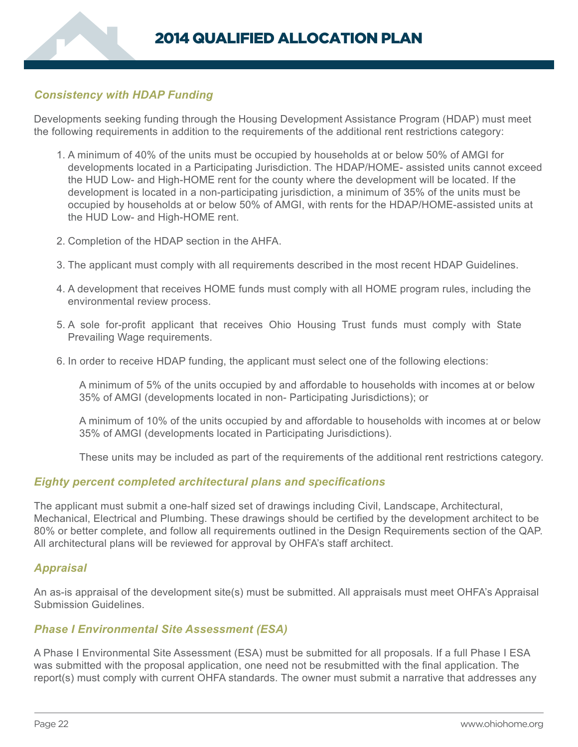# *Consistency with HDAP Funding*

Developments seeking funding through the Housing Development Assistance Program (HDAP) must meet the following requirements in addition to the requirements of the additional rent restrictions category:

- 1. A minimum of 40% of the units must be occupied by households at or below 50% of AMGI for developments located in a Participating Jurisdiction. The HDAP/HOME- assisted units cannot exceed the HUD Low- and High-HOME rent for the county where the development will be located. If the development is located in a non-participating jurisdiction, a minimum of 35% of the units must be occupied by households at or below 50% of AMGI, with rents for the HDAP/HOME-assisted units at the HUD Low- and High-HOME rent.
- 2. Completion of the HDAP section in the AHFA.
- 3. The applicant must comply with all requirements described in the most recent HDAP Guidelines.
- 4. A development that receives HOME funds must comply with all HOME program rules, including the environmental review process.
- 5. A sole for-profit applicant that receives Ohio Housing Trust funds must comply with State Prevailing Wage requirements.
- 6. In order to receive HDAP funding, the applicant must select one of the following elections:

A minimum of 5% of the units occupied by and affordable to households with incomes at or below 35% of AMGI (developments located in non- Participating Jurisdictions); or

A minimum of 10% of the units occupied by and affordable to households with incomes at or below 35% of AMGI (developments located in Participating Jurisdictions).

These units may be included as part of the requirements of the additional rent restrictions category.

#### *Eighty percent completed architectural plans and specifications*

The applicant must submit a one-half sized set of drawings including Civil, Landscape, Architectural, Mechanical, Electrical and Plumbing. These drawings should be certified by the development architect to be 80% or better complete, and follow all requirements outlined in the Design Requirements section of the QAP. All architectural plans will be reviewed for approval by OHFA's staff architect.

### *Appraisal*

An as-is appraisal of the development site(s) must be submitted. All appraisals must meet OHFA's Appraisal Submission Guidelines.

#### *Phase I Environmental Site Assessment (ESA)*

A Phase I Environmental Site Assessment (ESA) must be submitted for all proposals. If a full Phase I ESA was submitted with the proposal application, one need not be resubmitted with the final application. The report(s) must comply with current OHFA standards. The owner must submit a narrative that addresses any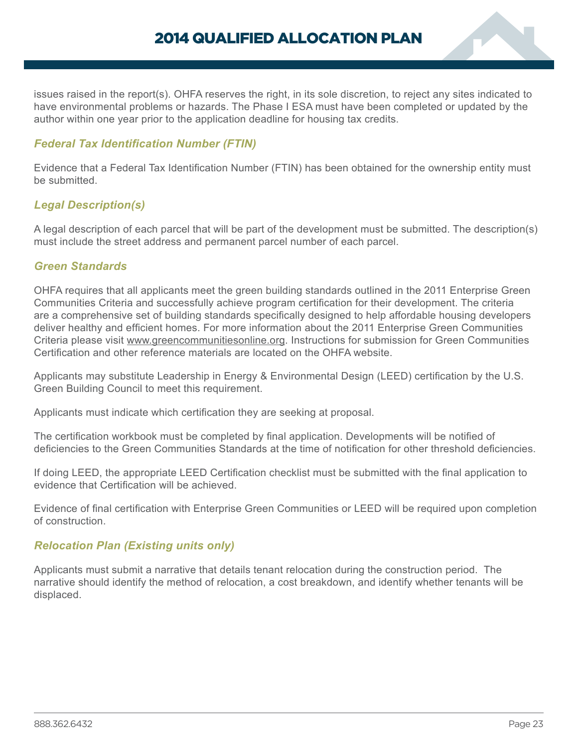

issues raised in the report(s). OHFA reserves the right, in its sole discretion, to reject any sites indicated to have environmental problems or hazards. The Phase I ESA must have been completed or updated by the author within one year prior to the application deadline for housing tax credits.

# *Federal Tax Identification Number (FTIN)*

Evidence that a Federal Tax Identification Number (FTIN) has been obtained for the ownership entity must be submitted.

# *Legal Description(s)*

A legal description of each parcel that will be part of the development must be submitted. The description(s) must include the street address and permanent parcel number of each parcel.

## *Green Standards*

OHFA requires that all applicants meet the green building standards outlined in the 2011 Enterprise Green Communities Criteria and successfully achieve program certification for their development. The criteria are a comprehensive set of building standards specifically designed to help affordable housing developers deliver healthy and efficient homes. For more information about the 2011 Enterprise Green Communities Criteria please visit www.greencommunitiesonline.org. Instructions for submission for Green Communities Certification and other reference materials are located on the OHFA website.

Applicants may substitute Leadership in Energy & Environmental Design (LEED) certification by the U.S. Green Building Council to meet this requirement.

Applicants must indicate which certification they are seeking at proposal.

The certification workbook must be completed by final application. Developments will be notified of deficiencies to the Green Communities Standards at the time of notification for other threshold deficiencies.

If doing LEED, the appropriate LEED Certification checklist must be submitted with the final application to evidence that Certification will be achieved.

Evidence of final certification with Enterprise Green Communities or LEED will be required upon completion of construction.

### *Relocation Plan (Existing units only)*

Applicants must submit a narrative that details tenant relocation during the construction period. The narrative should identify the method of relocation, a cost breakdown, and identify whether tenants will be displaced.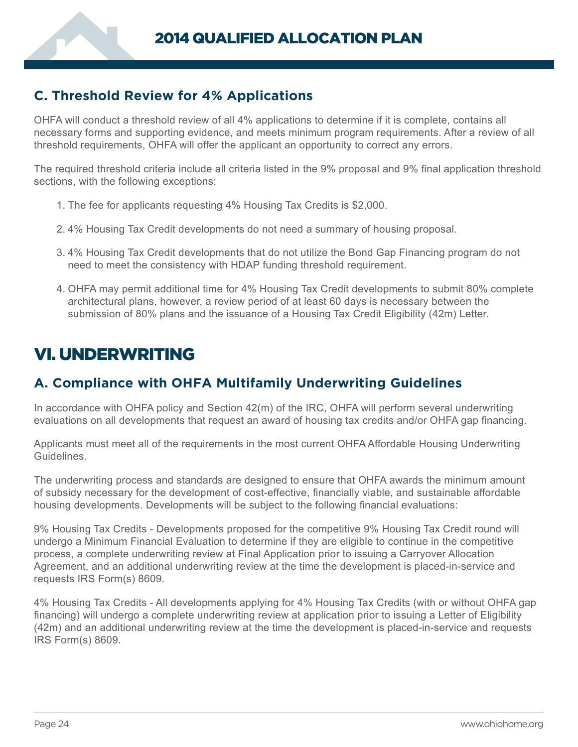# <span id="page-25-0"></span>**C. Threshold Review for 4% Applications**

OHFA will conduct a threshold review of all 4% applications to determine if it is complete, contains all necessary forms and supporting evidence, and meets minimum program requirements. After a review of all threshold requirements, OHFA will offer the applicant an opportunity to correct any errors.

The required threshold criteria include all criteria listed in the 9% proposal and 9% final application threshold sections, with the following exceptions:

- 1. The fee for applicants requesting 4% Housing Tax Credits is \$2,000.
- 2. 4% Housing Tax Credit developments do not need a summary of housing proposal.
- 3. 4% Housing Tax Credit developments that do not utilize the Bond Gap Financing program do not need to meet the consistency with HDAP funding threshold requirement.
- 4. OHFA may permit additional time for 4% Housing Tax Credit developments to submit 80% complete architectural plans, however, a review period of at least 60 days is necessary between the submission of 80% plans and the issuance of a Housing Tax Credit Eligibility (42m) Letter.

# VI. UNDERWRITING

# **A. Compliance with OHFA Multifamily Underwriting Guidelines**

In accordance with OHFA policy and Section 42(m) of the IRC, OHFA will perform several underwriting evaluations on all developments that request an award of housing tax credits and/or OHFA gap financing.

Applicants must meet all of the requirements in the most current OHFA Affordable Housing Underwriting Guidelines.

The underwriting process and standards are designed to ensure that OHFA awards the minimum amount of subsidy necessary for the development of cost-effective, financially viable, and sustainable affordable housing developments. Developments will be subject to the following financial evaluations:

9% Housing Tax Credits - Developments proposed for the competitive 9% Housing Tax Credit round will undergo a Minimum Financial Evaluation to determine if they are eligible to continue in the competitive process, a complete underwriting review at Final Application prior to issuing a Carryover Allocation Agreement, and an additional underwriting review at the time the development is placed-in-service and requests IRS Form(s) 8609.

4% Housing Tax Credits - All developments applying for 4% Housing Tax Credits (with or without OHFA gap financing) will undergo a complete underwriting review at application prior to issuing a Letter of Eligibility (42m) and an additional underwriting review at the time the development is placed-in-service and requests IRS Form(s) 8609.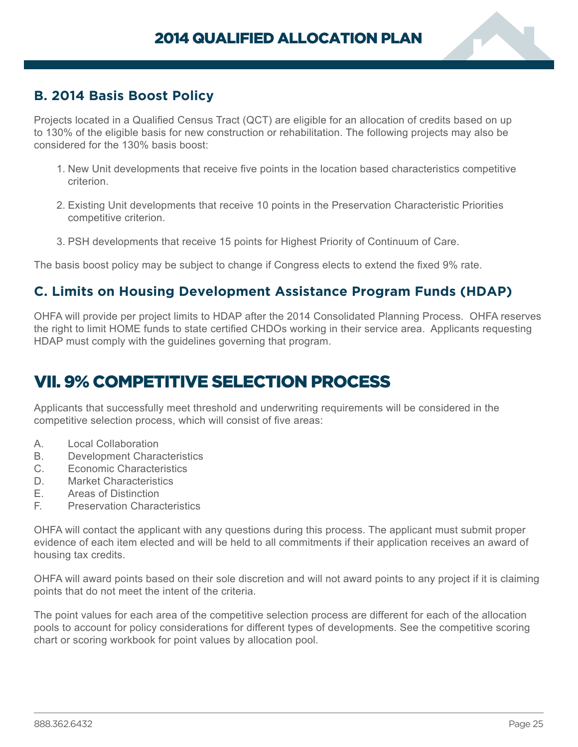

# <span id="page-26-0"></span>**B. 2014 Basis Boost Policy**

Projects located in a Qualified Census Tract (QCT) are eligible for an allocation of credits based on up to 130% of the eligible basis for new construction or rehabilitation. The following projects may also be considered for the 130% basis boost:

- 1. New Unit developments that receive five points in the location based characteristics competitive criterion.
- 2. Existing Unit developments that receive 10 points in the Preservation Characteristic Priorities competitive criterion.
- 3. PSH developments that receive 15 points for Highest Priority of Continuum of Care.

The basis boost policy may be subject to change if Congress elects to extend the fixed 9% rate.

# **C. Limits on Housing Development Assistance Program Funds (HDAP)**

OHFA will provide per project limits to HDAP after the 2014 Consolidated Planning Process. OHFA reserves the right to limit HOME funds to state certified CHDOs working in their service area. Applicants requesting HDAP must comply with the guidelines governing that program.

# VII. 9% COMPETITIVE SELECTION PROCESS

Applicants that successfully meet threshold and underwriting requirements will be considered in the competitive selection process, which will consist of five areas:

- A. Local Collaboration
- B. Development Characteristics
- C. Economic Characteristics
- D. Market Characteristics
- E. Areas of Distinction
- F. Preservation Characteristics

OHFA will contact the applicant with any questions during this process. The applicant must submit proper evidence of each item elected and will be held to all commitments if their application receives an award of housing tax credits.

OHFA will award points based on their sole discretion and will not award points to any project if it is claiming points that do not meet the intent of the criteria.

The point values for each area of the competitive selection process are different for each of the allocation pools to account for policy considerations for different types of developments. See the competitive scoring chart or scoring workbook for point values by allocation pool.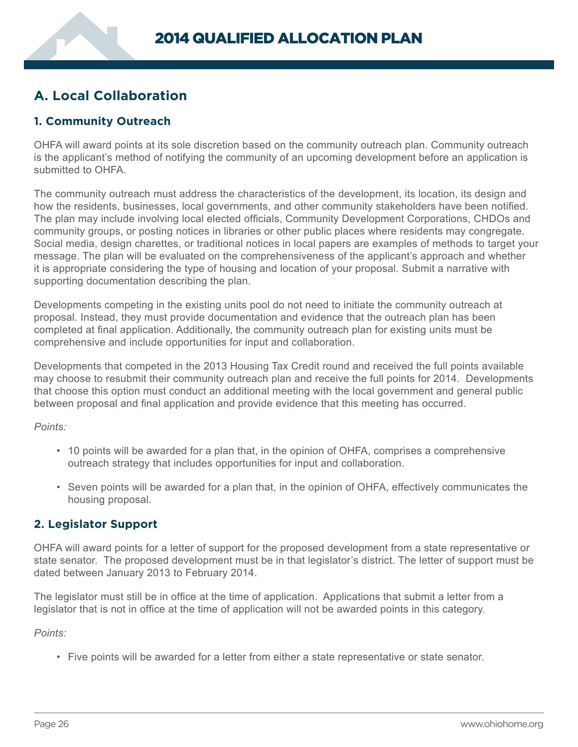# <span id="page-27-0"></span>**A. Local Collaboration**

# **1. Community Outreach**

OHFA will award points at its sole discretion based on the community outreach plan. Community outreach is the applicant's method of notifying the community of an upcoming development before an application is submitted to OHFA.

The community outreach must address the characteristics of the development, its location, its design and how the residents, businesses, local governments, and other community stakeholders have been notified. The plan may include involving local elected officials, Community Development Corporations, CHDOs and community groups, or posting notices in libraries or other public places where residents may congregate. Social media, design charettes, or traditional notices in local papers are examples of methods to target your message. The plan will be evaluated on the comprehensiveness of the applicant's approach and whether it is appropriate considering the type of housing and location of your proposal. Submit a narrative with supporting documentation describing the plan.

Developments competing in the existing units pool do not need to initiate the community outreach at proposal. Instead, they must provide documentation and evidence that the outreach plan has been completed at final application. Additionally, the community outreach plan for existing units must be comprehensive and include opportunities for input and collaboration.

Developments that competed in the 2013 Housing Tax Credit round and received the full points available may choose to resubmit their community outreach plan and receive the full points for 2014. Developments that choose this option must conduct an additional meeting with the local government and general public between proposal and final application and provide evidence that this meeting has occurred.

*Points:*

- 10 points will be awarded for a plan that, in the opinion of OHFA, comprises a comprehensive outreach strategy that includes opportunities for input and collaboration.
- Seven points will be awarded for a plan that, in the opinion of OHFA, effectively communicates the housing proposal.

# **2. Legislator Support**

OHFA will award points for a letter of support for the proposed development from a state representative or state senator. The proposed development must be in that legislator's district. The letter of support must be dated between January 2013 to February 2014.

The legislator must still be in office at the time of application. Applications that submit a letter from a legislator that is not in office at the time of application will not be awarded points in this category.

*Points:*

• Five points will be awarded for a letter from either a state representative or state senator.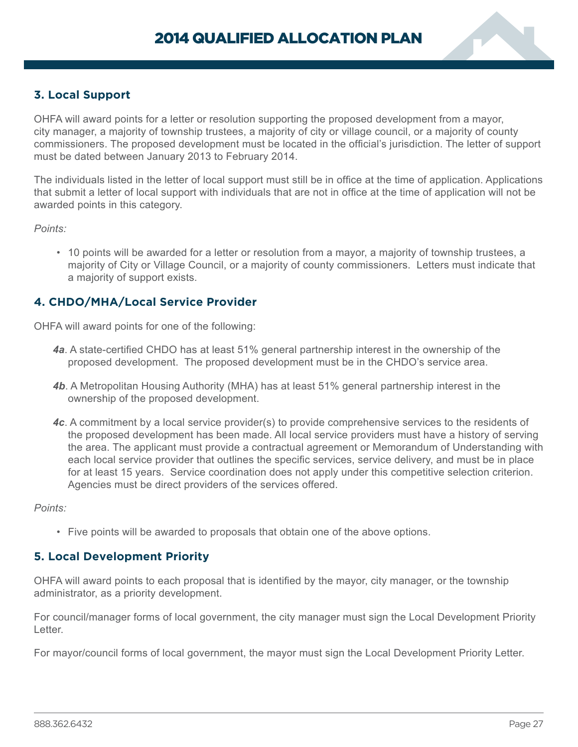<span id="page-28-0"></span>

OHFA will award points for a letter or resolution supporting the proposed development from a mayor, city manager, a majority of township trustees, a majority of city or village council, or a majority of county commissioners. The proposed development must be located in the official's jurisdiction. The letter of support must be dated between January 2013 to February 2014.

The individuals listed in the letter of local support must still be in office at the time of application. Applications that submit a letter of local support with individuals that are not in office at the time of application will not be awarded points in this category.

*Points:* 

• 10 points will be awarded for a letter or resolution from a mayor, a majority of township trustees, a majority of City or Village Council, or a majority of county commissioners. Letters must indicate that a majority of support exists.

### **4. CHDO/MHA/Local Service Provider**

OHFA will award points for one of the following:

- *4a*. A state-certified CHDO has at least 51% general partnership interest in the ownership of the proposed development. The proposed development must be in the CHDO's service area.
- *4b*. A Metropolitan Housing Authority (MHA) has at least 51% general partnership interest in the ownership of the proposed development.
- *4c*. A commitment by a local service provider(s) to provide comprehensive services to the residents of the proposed development has been made. All local service providers must have a history of serving the area. The applicant must provide a contractual agreement or Memorandum of Understanding with each local service provider that outlines the specific services, service delivery, and must be in place for at least 15 years. Service coordination does not apply under this competitive selection criterion. Agencies must be direct providers of the services offered.

*Points:*

• Five points will be awarded to proposals that obtain one of the above options.

#### **5. Local Development Priority**

OHFA will award points to each proposal that is identified by the mayor, city manager, or the township administrator, as a priority development.

For council/manager forms of local government, the city manager must sign the Local Development Priority Letter.

For mayor/council forms of local government, the mayor must sign the Local Development Priority Letter.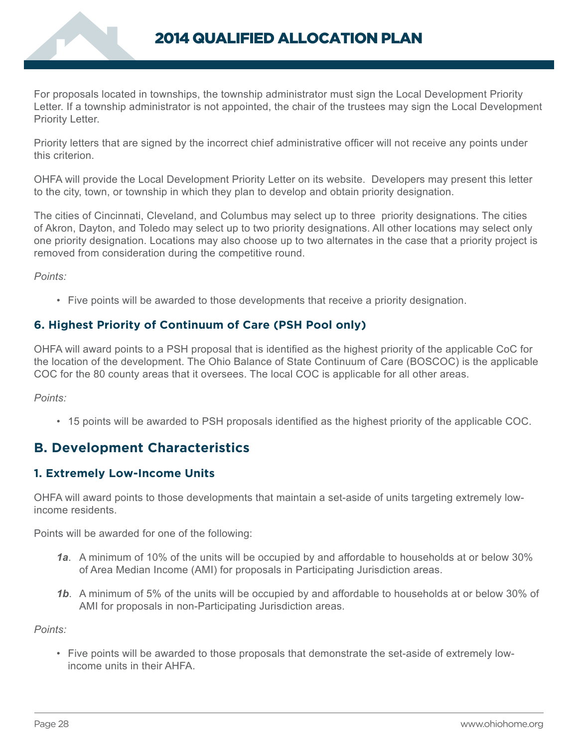<span id="page-29-0"></span>

For proposals located in townships, the township administrator must sign the Local Development Priority Letter. If a township administrator is not appointed, the chair of the trustees may sign the Local Development Priority Letter.

Priority letters that are signed by the incorrect chief administrative officer will not receive any points under this criterion.

OHFA will provide the Local Development Priority Letter on its website. Developers may present this letter to the city, town, or township in which they plan to develop and obtain priority designation.

The cities of Cincinnati, Cleveland, and Columbus may select up to three priority designations. The cities of Akron, Dayton, and Toledo may select up to two priority designations. All other locations may select only one priority designation. Locations may also choose up to two alternates in the case that a priority project is removed from consideration during the competitive round.

*Points:* 

• Five points will be awarded to those developments that receive a priority designation.

# **6. Highest Priority of Continuum of Care (PSH Pool only)**

OHFA will award points to a PSH proposal that is identified as the highest priority of the applicable CoC for the location of the development. The Ohio Balance of State Continuum of Care (BOSCOC) is the applicable COC for the 80 county areas that it oversees. The local COC is applicable for all other areas.

*Points:*

• 15 points will be awarded to PSH proposals identified as the highest priority of the applicable COC.

# **B. Development Characteristics**

# **1. Extremely Low-Income Units**

OHFA will award points to those developments that maintain a set-aside of units targeting extremely lowincome residents.

Points will be awarded for one of the following:

- *1a*. A minimum of 10% of the units will be occupied by and affordable to households at or below 30% of Area Median Income (AMI) for proposals in Participating Jurisdiction areas.
- *1b*. A minimum of 5% of the units will be occupied by and affordable to households at or below 30% of AMI for proposals in non-Participating Jurisdiction areas.

*Points:* 

• Five points will be awarded to those proposals that demonstrate the set-aside of extremely lowincome units in their AHFA.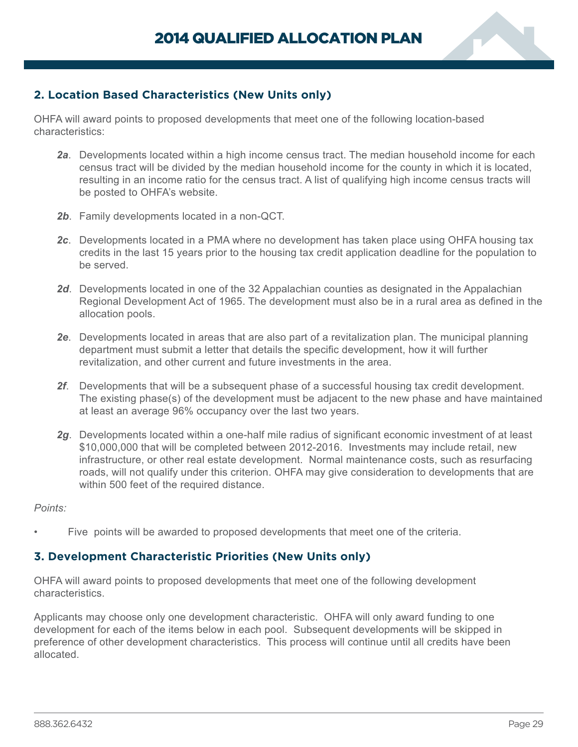

# <span id="page-30-0"></span>**2. Location Based Characteristics (New Units only)**

OHFA will award points to proposed developments that meet one of the following location-based characteristics:

- *2a*. Developments located within a high income census tract. The median household income for each census tract will be divided by the median household income for the county in which it is located, resulting in an income ratio for the census tract. A list of qualifying high income census tracts will be posted to OHFA's website.
- *2b*. Family developments located in a non-QCT.
- *2c*. Developments located in a PMA where no development has taken place using OHFA housing tax credits in the last 15 years prior to the housing tax credit application deadline for the population to be served.
- *2d*. Developments located in one of the 32 Appalachian counties as designated in the Appalachian Regional Development Act of 1965. The development must also be in a rural area as defined in the allocation pools.
- *2e*. Developments located in areas that are also part of a revitalization plan. The municipal planning department must submit a letter that details the specific development, how it will further revitalization, and other current and future investments in the area.
- *2f*. Developments that will be a subsequent phase of a successful housing tax credit development. The existing phase(s) of the development must be adjacent to the new phase and have maintained at least an average 96% occupancy over the last two years.
- *2g*. Developments located within a one-half mile radius of significant economic investment of at least \$10,000,000 that will be completed between 2012-2016. Investments may include retail, new infrastructure, or other real estate development. Normal maintenance costs, such as resurfacing roads, will not qualify under this criterion. OHFA may give consideration to developments that are within 500 feet of the required distance.

#### *Points:*

• Five points will be awarded to proposed developments that meet one of the criteria.

### **3. Development Characteristic Priorities (New Units only)**

OHFA will award points to proposed developments that meet one of the following development characteristics.

Applicants may choose only one development characteristic. OHFA will only award funding to one development for each of the items below in each pool. Subsequent developments will be skipped in preference of other development characteristics. This process will continue until all credits have been allocated.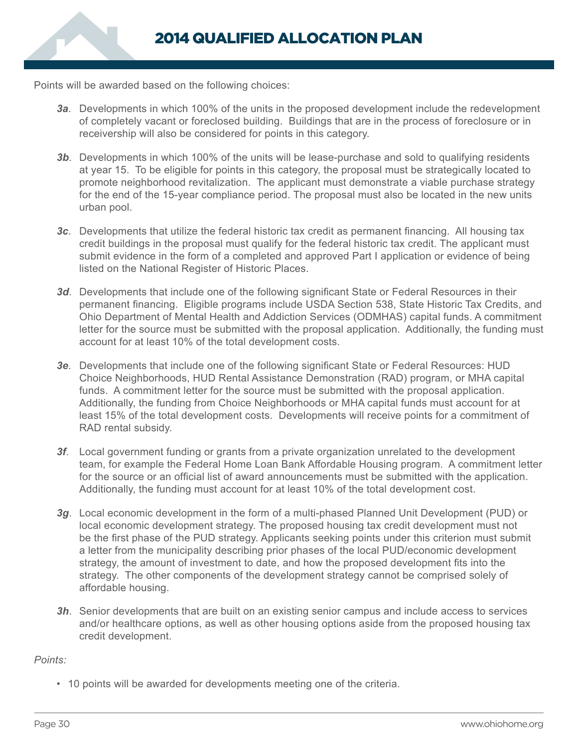Points will be awarded based on the following choices:

- *3a*. Developments in which 100% of the units in the proposed development include the redevelopment of completely vacant or foreclosed building. Buildings that are in the process of foreclosure or in receivership will also be considered for points in this category.
- **3b.** Developments in which 100% of the units will be lease-purchase and sold to qualifying residents at year 15. To be eligible for points in this category, the proposal must be strategically located to promote neighborhood revitalization. The applicant must demonstrate a viable purchase strategy for the end of the 15-year compliance period. The proposal must also be located in the new units urban pool.
- *3c*. Developments that utilize the federal historic tax credit as permanent financing. All housing tax credit buildings in the proposal must qualify for the federal historic tax credit. The applicant must submit evidence in the form of a completed and approved Part I application or evidence of being listed on the National Register of Historic Places.
- **3d.** Developments that include one of the following significant State or Federal Resources in their permanent financing. Eligible programs include USDA Section 538, State Historic Tax Credits, and Ohio Department of Mental Health and Addiction Services (ODMHAS) capital funds. A commitment letter for the source must be submitted with the proposal application. Additionally, the funding must account for at least 10% of the total development costs.
- *3e*. Developments that include one of the following significant State or Federal Resources: HUD Choice Neighborhoods, HUD Rental Assistance Demonstration (RAD) program, or MHA capital funds. A commitment letter for the source must be submitted with the proposal application. Additionally, the funding from Choice Neighborhoods or MHA capital funds must account for at least 15% of the total development costs. Developments will receive points for a commitment of RAD rental subsidy.
- *3f*. Local government funding or grants from a private organization unrelated to the development team, for example the Federal Home Loan Bank Affordable Housing program. A commitment letter for the source or an official list of award announcements must be submitted with the application. Additionally, the funding must account for at least 10% of the total development cost.
- *3g*. Local economic development in the form of a multi-phased Planned Unit Development (PUD) or local economic development strategy. The proposed housing tax credit development must not be the first phase of the PUD strategy. Applicants seeking points under this criterion must submit a letter from the municipality describing prior phases of the local PUD/economic development strategy, the amount of investment to date, and how the proposed development fits into the strategy. The other components of the development strategy cannot be comprised solely of affordable housing.
- **3h.** Senior developments that are built on an existing senior campus and include access to services and/or healthcare options, as well as other housing options aside from the proposed housing tax credit development.

*Points:*

• 10 points will be awarded for developments meeting one of the criteria.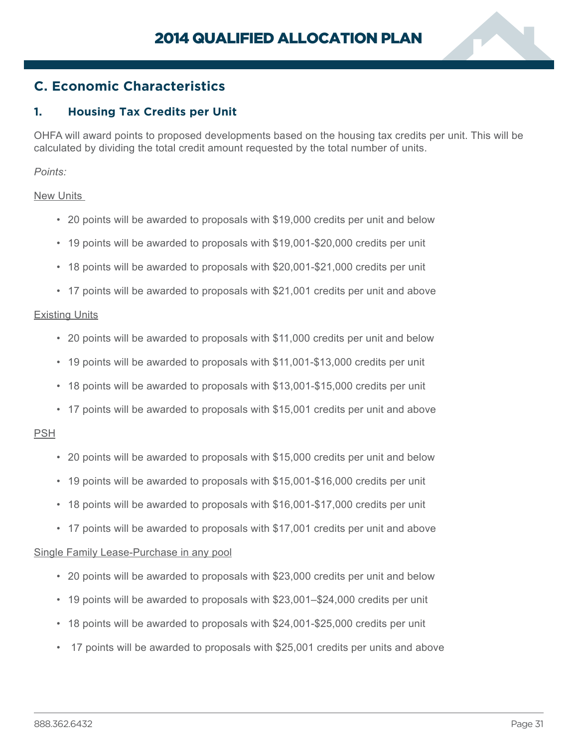

# <span id="page-32-0"></span>**C. Economic Characteristics**

# **1. Housing Tax Credits per Unit**

OHFA will award points to proposed developments based on the housing tax credits per unit. This will be calculated by dividing the total credit amount requested by the total number of units.

*Points:*

#### New Units

- 20 points will be awarded to proposals with \$19,000 credits per unit and below
- 19 points will be awarded to proposals with \$19,001-\$20,000 credits per unit
- 18 points will be awarded to proposals with \$20,001-\$21,000 credits per unit
- 17 points will be awarded to proposals with \$21,001 credits per unit and above

#### Existing Units

- 20 points will be awarded to proposals with \$11,000 credits per unit and below
- 19 points will be awarded to proposals with \$11,001-\$13,000 credits per unit
- 18 points will be awarded to proposals with \$13,001-\$15,000 credits per unit
- 17 points will be awarded to proposals with \$15,001 credits per unit and above

#### PSH

- 20 points will be awarded to proposals with \$15,000 credits per unit and below
- 19 points will be awarded to proposals with \$15,001-\$16,000 credits per unit
- 18 points will be awarded to proposals with \$16,001-\$17,000 credits per unit
- 17 points will be awarded to proposals with \$17,001 credits per unit and above

#### Single Family Lease-Purchase in any pool

- 20 points will be awarded to proposals with \$23,000 credits per unit and below
- 19 points will be awarded to proposals with \$23,001–\$24,000 credits per unit
- 18 points will be awarded to proposals with \$24,001-\$25,000 credits per unit
- 17 points will be awarded to proposals with \$25,001 credits per units and above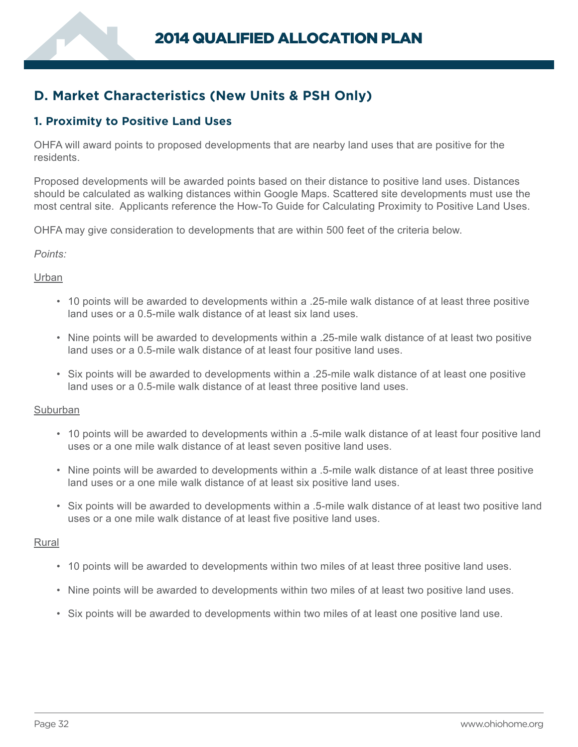# <span id="page-33-0"></span>**D. Market Characteristics (New Units & PSH Only)**

# **1. Proximity to Positive Land Uses**

OHFA will award points to proposed developments that are nearby land uses that are positive for the residents.

Proposed developments will be awarded points based on their distance to positive land uses. Distances should be calculated as walking distances within Google Maps. Scattered site developments must use the most central site. Applicants reference the How-To Guide for Calculating Proximity to Positive Land Uses.

OHFA may give consideration to developments that are within 500 feet of the criteria below.

#### *Points:*

#### Urban

- 10 points will be awarded to developments within a .25-mile walk distance of at least three positive land uses or a 0.5-mile walk distance of at least six land uses.
- Nine points will be awarded to developments within a .25-mile walk distance of at least two positive land uses or a 0.5-mile walk distance of at least four positive land uses.
- Six points will be awarded to developments within a .25-mile walk distance of at least one positive land uses or a 0.5-mile walk distance of at least three positive land uses.

#### **Suburban**

- 10 points will be awarded to developments within a .5-mile walk distance of at least four positive land uses or a one mile walk distance of at least seven positive land uses.
- Nine points will be awarded to developments within a .5-mile walk distance of at least three positive land uses or a one mile walk distance of at least six positive land uses.
- Six points will be awarded to developments within a .5-mile walk distance of at least two positive land uses or a one mile walk distance of at least five positive land uses.

#### Rural

- 10 points will be awarded to developments within two miles of at least three positive land uses.
- Nine points will be awarded to developments within two miles of at least two positive land uses.
- Six points will be awarded to developments within two miles of at least one positive land use.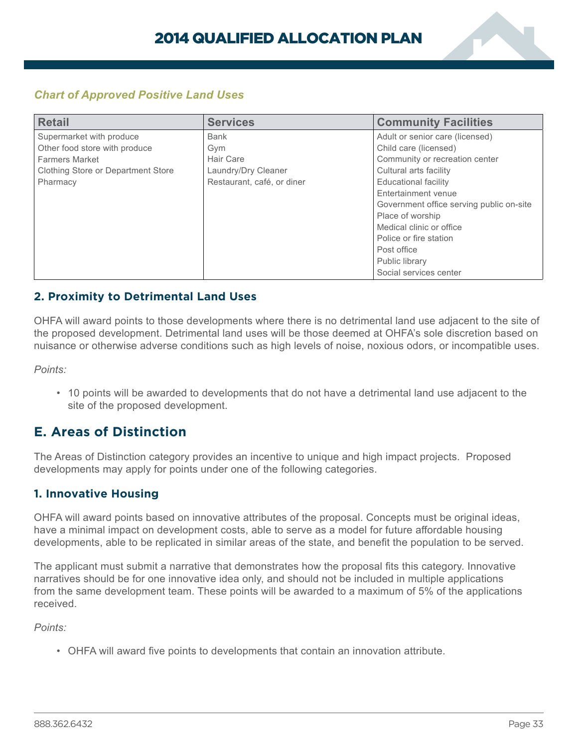

# <span id="page-34-0"></span>*Chart of Approved Positive Land Uses*

| <b>Retail</b>                      | <b>Services</b>            | <b>Community Facilities</b>              |
|------------------------------------|----------------------------|------------------------------------------|
| Supermarket with produce           | <b>Bank</b>                | Adult or senior care (licensed)          |
| Other food store with produce      | Gym                        | Child care (licensed)                    |
| <b>Farmers Market</b>              | Hair Care                  | Community or recreation center           |
| Clothing Store or Department Store | Laundry/Dry Cleaner        | Cultural arts facility                   |
| Pharmacy                           | Restaurant, café, or diner | Educational facility                     |
|                                    |                            | Entertainment venue                      |
|                                    |                            | Government office serving public on-site |
|                                    |                            | Place of worship                         |
|                                    |                            | Medical clinic or office                 |
|                                    |                            | Police or fire station                   |
|                                    |                            | Post office                              |
|                                    |                            | Public library                           |
|                                    |                            | Social services center                   |

# **2. Proximity to Detrimental Land Uses**

OHFA will award points to those developments where there is no detrimental land use adjacent to the site of the proposed development. Detrimental land uses will be those deemed at OHFA's sole discretion based on nuisance or otherwise adverse conditions such as high levels of noise, noxious odors, or incompatible uses.

*Points:*

• 10 points will be awarded to developments that do not have a detrimental land use adjacent to the site of the proposed development.

# **E. Areas of Distinction**

The Areas of Distinction category provides an incentive to unique and high impact projects. Proposed developments may apply for points under one of the following categories.

# **1. Innovative Housing**

OHFA will award points based on innovative attributes of the proposal. Concepts must be original ideas, have a minimal impact on development costs, able to serve as a model for future affordable housing developments, able to be replicated in similar areas of the state, and benefit the population to be served.

The applicant must submit a narrative that demonstrates how the proposal fits this category. Innovative narratives should be for one innovative idea only, and should not be included in multiple applications from the same development team. These points will be awarded to a maximum of 5% of the applications received.

*Points:* 

• OHFA will award five points to developments that contain an innovation attribute.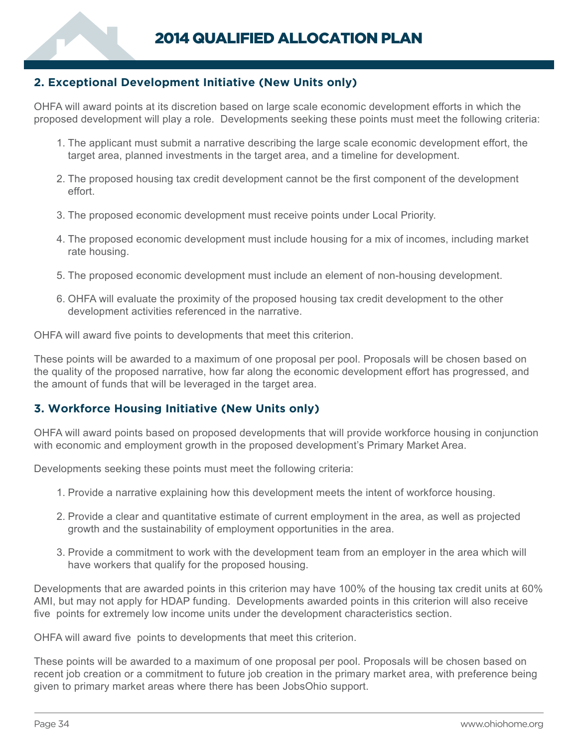# <span id="page-35-0"></span>**2. Exceptional Development Initiative (New Units only)**

OHFA will award points at its discretion based on large scale economic development efforts in which the proposed development will play a role. Developments seeking these points must meet the following criteria:

- 1. The applicant must submit a narrative describing the large scale economic development effort, the target area, planned investments in the target area, and a timeline for development.
- 2. The proposed housing tax credit development cannot be the first component of the development effort.
- 3. The proposed economic development must receive points under Local Priority.
- 4. The proposed economic development must include housing for a mix of incomes, including market rate housing.
- 5. The proposed economic development must include an element of non-housing development.
- 6. OHFA will evaluate the proximity of the proposed housing tax credit development to the other development activities referenced in the narrative.

OHFA will award five points to developments that meet this criterion.

These points will be awarded to a maximum of one proposal per pool. Proposals will be chosen based on the quality of the proposed narrative, how far along the economic development effort has progressed, and the amount of funds that will be leveraged in the target area.

# **3. Workforce Housing Initiative (New Units only)**

OHFA will award points based on proposed developments that will provide workforce housing in conjunction with economic and employment growth in the proposed development's Primary Market Area.

Developments seeking these points must meet the following criteria:

- 1. Provide a narrative explaining how this development meets the intent of workforce housing.
- 2. Provide a clear and quantitative estimate of current employment in the area, as well as projected growth and the sustainability of employment opportunities in the area.
- 3. Provide a commitment to work with the development team from an employer in the area which will have workers that qualify for the proposed housing.

Developments that are awarded points in this criterion may have 100% of the housing tax credit units at 60% AMI, but may not apply for HDAP funding. Developments awarded points in this criterion will also receive five points for extremely low income units under the development characteristics section.

OHFA will award five points to developments that meet this criterion.

These points will be awarded to a maximum of one proposal per pool. Proposals will be chosen based on recent job creation or a commitment to future job creation in the primary market area, with preference being given to primary market areas where there has been JobsOhio support.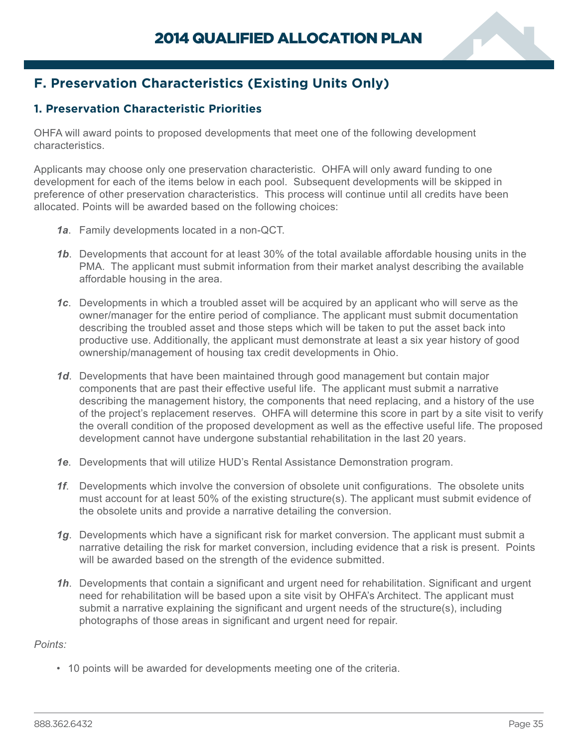

# <span id="page-36-0"></span>**F. Preservation Characteristics (Existing Units Only)**

# **1. Preservation Characteristic Priorities**

OHFA will award points to proposed developments that meet one of the following development characteristics.

Applicants may choose only one preservation characteristic. OHFA will only award funding to one development for each of the items below in each pool. Subsequent developments will be skipped in preference of other preservation characteristics. This process will continue until all credits have been allocated. Points will be awarded based on the following choices:

- *1a*. Family developments located in a non-QCT.
- *1b*. Developments that account for at least 30% of the total available affordable housing units in the PMA. The applicant must submit information from their market analyst describing the available affordable housing in the area.
- *1c*. Developments in which a troubled asset will be acquired by an applicant who will serve as the owner/manager for the entire period of compliance. The applicant must submit documentation describing the troubled asset and those steps which will be taken to put the asset back into productive use. Additionally, the applicant must demonstrate at least a six year history of good ownership/management of housing tax credit developments in Ohio.
- *1d*. Developments that have been maintained through good management but contain major components that are past their effective useful life. The applicant must submit a narrative describing the management history, the components that need replacing, and a history of the use of the project's replacement reserves. OHFA will determine this score in part by a site visit to verify the overall condition of the proposed development as well as the effective useful life. The proposed development cannot have undergone substantial rehabilitation in the last 20 years.
- *1e*. Developments that will utilize HUD's Rental Assistance Demonstration program.
- **1f.** Developments which involve the conversion of obsolete unit configurations. The obsolete units must account for at least 50% of the existing structure(s). The applicant must submit evidence of the obsolete units and provide a narrative detailing the conversion.
- *1g*. Developments which have a significant risk for market conversion. The applicant must submit a narrative detailing the risk for market conversion, including evidence that a risk is present. Points will be awarded based on the strength of the evidence submitted.
- *1h*. Developments that contain a significant and urgent need for rehabilitation. Significant and urgent need for rehabilitation will be based upon a site visit by OHFA's Architect. The applicant must submit a narrative explaining the significant and urgent needs of the structure(s), including photographs of those areas in significant and urgent need for repair.

### *Points:*

• 10 points will be awarded for developments meeting one of the criteria.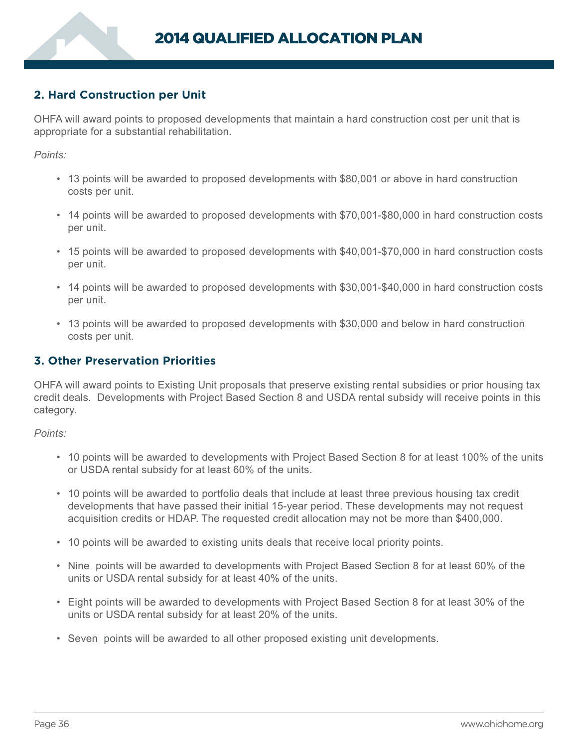# <span id="page-37-0"></span>**2. Hard Construction per Unit**

OHFA will award points to proposed developments that maintain a hard construction cost per unit that is appropriate for a substantial rehabilitation.

*Points:*

- 13 points will be awarded to proposed developments with \$80,001 or above in hard construction costs per unit.
- 14 points will be awarded to proposed developments with \$70,001-\$80,000 in hard construction costs per unit.
- 15 points will be awarded to proposed developments with \$40,001-\$70,000 in hard construction costs per unit.
- 14 points will be awarded to proposed developments with \$30,001-\$40,000 in hard construction costs per unit.
- 13 points will be awarded to proposed developments with \$30,000 and below in hard construction costs per unit.

### **3. Other Preservation Priorities**

OHFA will award points to Existing Unit proposals that preserve existing rental subsidies or prior housing tax credit deals. Developments with Project Based Section 8 and USDA rental subsidy will receive points in this category.

*Points:*

- 10 points will be awarded to developments with Project Based Section 8 for at least 100% of the units or USDA rental subsidy for at least 60% of the units.
- 10 points will be awarded to portfolio deals that include at least three previous housing tax credit developments that have passed their initial 15-year period. These developments may not request acquisition credits or HDAP. The requested credit allocation may not be more than \$400,000.
- 10 points will be awarded to existing units deals that receive local priority points.
- Nine points will be awarded to developments with Project Based Section 8 for at least 60% of the units or USDA rental subsidy for at least 40% of the units.
- Eight points will be awarded to developments with Project Based Section 8 for at least 30% of the units or USDA rental subsidy for at least 20% of the units.
- Seven points will be awarded to all other proposed existing unit developments.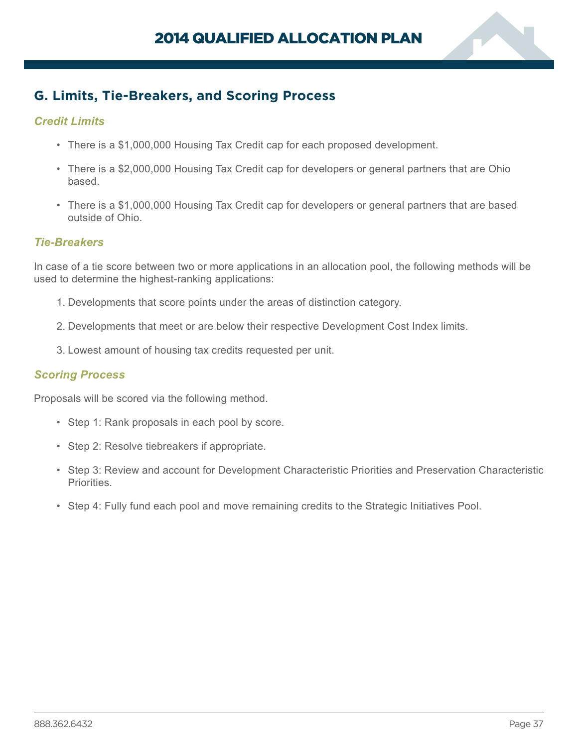

# <span id="page-38-0"></span>**G. Limits, Tie-Breakers, and Scoring Process**

# *Credit Limits*

- There is a \$1,000,000 Housing Tax Credit cap for each proposed development.
- There is a \$2,000,000 Housing Tax Credit cap for developers or general partners that are Ohio based.
- There is a \$1,000,000 Housing Tax Credit cap for developers or general partners that are based outside of Ohio.

## *Tie-Breakers*

In case of a tie score between two or more applications in an allocation pool, the following methods will be used to determine the highest-ranking applications:

- 1. Developments that score points under the areas of distinction category.
- 2. Developments that meet or are below their respective Development Cost Index limits.
- 3. Lowest amount of housing tax credits requested per unit.

### *Scoring Process*

Proposals will be scored via the following method.

- Step 1: Rank proposals in each pool by score.
- Step 2: Resolve tiebreakers if appropriate.
- Step 3: Review and account for Development Characteristic Priorities and Preservation Characteristic Priorities.
- Step 4: Fully fund each pool and move remaining credits to the Strategic Initiatives Pool.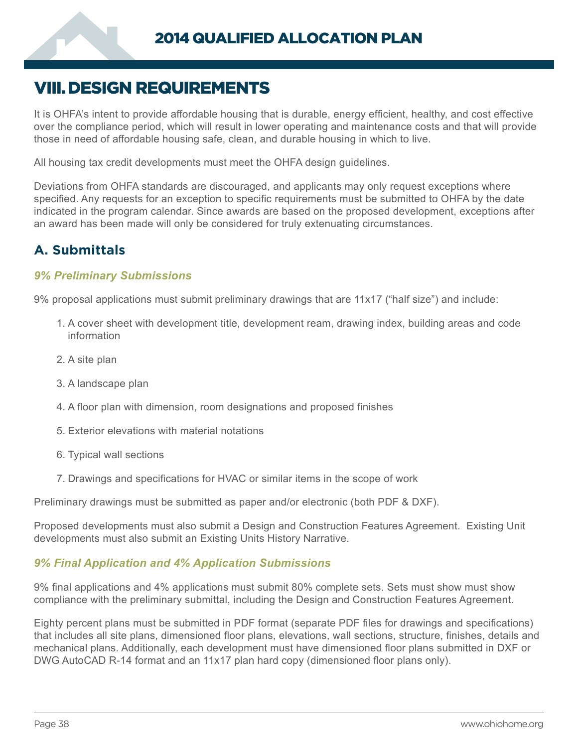# <span id="page-39-0"></span>VIII.DESIGN REQUIREMENTS

It is OHFA's intent to provide affordable housing that is durable, energy efficient, healthy, and cost effective over the compliance period, which will result in lower operating and maintenance costs and that will provide those in need of affordable housing safe, clean, and durable housing in which to live.

All housing tax credit developments must meet the OHFA design guidelines.

Deviations from OHFA standards are discouraged, and applicants may only request exceptions where specified. Any requests for an exception to specific requirements must be submitted to OHFA by the date indicated in the program calendar. Since awards are based on the proposed development, exceptions after an award has been made will only be considered for truly extenuating circumstances.

# **A. Submittals**

## *9% Preliminary Submissions*

9% proposal applications must submit preliminary drawings that are 11x17 ("half size") and include:

- 1. A cover sheet with development title, development ream, drawing index, building areas and code information
- 2. A site plan
- 3. A landscape plan
- 4. A floor plan with dimension, room designations and proposed finishes
- 5. Exterior elevations with material notations
- 6. Typical wall sections
- 7. Drawings and specifications for HVAC or similar items in the scope of work

Preliminary drawings must be submitted as paper and/or electronic (both PDF & DXF).

Proposed developments must also submit a Design and Construction Features Agreement. Existing Unit developments must also submit an Existing Units History Narrative.

### *9% Final Application and 4% Application Submissions*

9% final applications and 4% applications must submit 80% complete sets. Sets must show must show compliance with the preliminary submittal, including the Design and Construction Features Agreement.

Eighty percent plans must be submitted in PDF format (separate PDF files for drawings and specifications) that includes all site plans, dimensioned floor plans, elevations, wall sections, structure, finishes, details and mechanical plans. Additionally, each development must have dimensioned floor plans submitted in DXF or DWG AutoCAD R-14 format and an 11x17 plan hard copy (dimensioned floor plans only).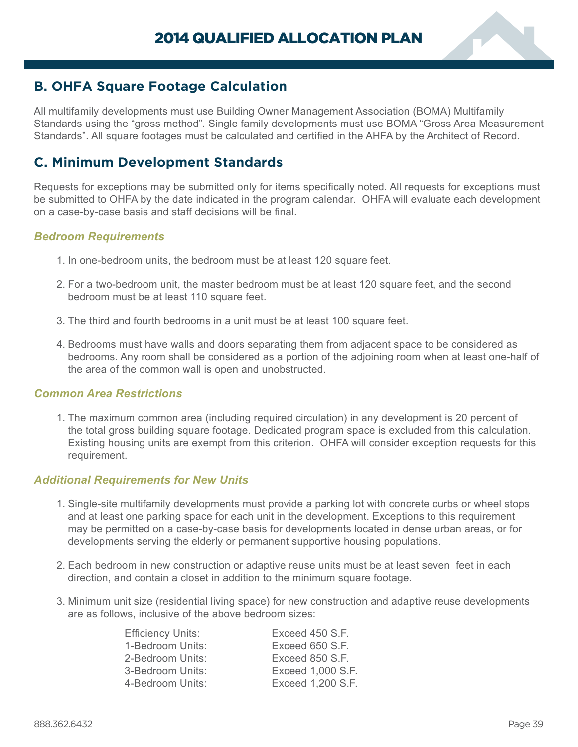

# <span id="page-40-0"></span>**B. OHFA Square Footage Calculation**

All multifamily developments must use Building Owner Management Association (BOMA) Multifamily Standards using the "gross method". Single family developments must use BOMA "Gross Area Measurement Standards". All square footages must be calculated and certified in the AHFA by the Architect of Record.

# **C. Minimum Development Standards**

Requests for exceptions may be submitted only for items specifically noted. All requests for exceptions must be submitted to OHFA by the date indicated in the program calendar. OHFA will evaluate each development on a case-by-case basis and staff decisions will be final.

### *Bedroom Requirements*

- 1. In one-bedroom units, the bedroom must be at least 120 square feet.
- 2. For a two-bedroom unit, the master bedroom must be at least 120 square feet, and the second bedroom must be at least 110 square feet.
- 3. The third and fourth bedrooms in a unit must be at least 100 square feet.
- 4. Bedrooms must have walls and doors separating them from adjacent space to be considered as bedrooms. Any room shall be considered as a portion of the adjoining room when at least one-half of the area of the common wall is open and unobstructed.

#### *Common Area Restrictions*

1. The maximum common area (including required circulation) in any development is 20 percent of the total gross building square footage. Dedicated program space is excluded from this calculation. Existing housing units are exempt from this criterion. OHFA will consider exception requests for this requirement.

### *Additional Requirements for New Units*

- 1. Single-site multifamily developments must provide a parking lot with concrete curbs or wheel stops and at least one parking space for each unit in the development. Exceptions to this requirement may be permitted on a case-by-case basis for developments located in dense urban areas, or for developments serving the elderly or permanent supportive housing populations.
- 2. Each bedroom in new construction or adaptive reuse units must be at least seven feet in each direction, and contain a closet in addition to the minimum square footage.
- 3. Minimum unit size (residential living space) for new construction and adaptive reuse developments are as follows, inclusive of the above bedroom sizes:

| <b>Efficiency Units:</b> | Exceed 450 S.F.   |
|--------------------------|-------------------|
| 1-Bedroom Units:         | Exceed 650 S.F.   |
| 2-Bedroom Units:         | Exceed 850 S.F.   |
| 3-Bedroom Units:         | Exceed 1,000 S.F. |
| 4-Bedroom Units:         | Exceed 1,200 S.F. |
|                          |                   |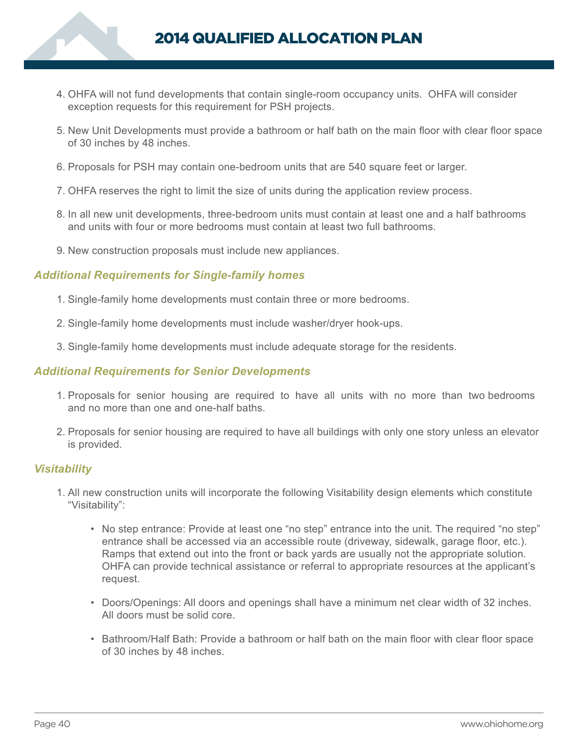

- 4. OHFA will not fund developments that contain single-room occupancy units. OHFA will consider exception requests for this requirement for PSH projects.
- 5. New Unit Developments must provide a bathroom or half bath on the main floor with clear floor space of 30 inches by 48 inches.
- 6. Proposals for PSH may contain one-bedroom units that are 540 square feet or larger.
- 7. OHFA reserves the right to limit the size of units during the application review process.
- 8. In all new unit developments, three-bedroom units must contain at least one and a half bathrooms and units with four or more bedrooms must contain at least two full bathrooms.
- 9. New construction proposals must include new appliances.

### *Additional Requirements for Single-family homes*

- 1. Single-family home developments must contain three or more bedrooms.
- 2. Single-family home developments must include washer/dryer hook-ups.
- 3. Single-family home developments must include adequate storage for the residents.

#### *Additional Requirements for Senior Developments*

- 1. Proposals for senior housing are required to have all units with no more than two bedrooms and no more than one and one-half baths.
- 2. Proposals for senior housing are required to have all buildings with only one story unless an elevator is provided.

#### *Visitability*

- 1. All new construction units will incorporate the following Visitability design elements which constitute "Visitability":
	- No step entrance: Provide at least one "no step" entrance into the unit. The required "no step" entrance shall be accessed via an accessible route (driveway, sidewalk, garage floor, etc.). Ramps that extend out into the front or back yards are usually not the appropriate solution. OHFA can provide technical assistance or referral to appropriate resources at the applicant's request.
	- Doors/Openings: All doors and openings shall have a minimum net clear width of 32 inches. All doors must be solid core.
	- Bathroom/Half Bath: Provide a bathroom or half bath on the main floor with clear floor space of 30 inches by 48 inches.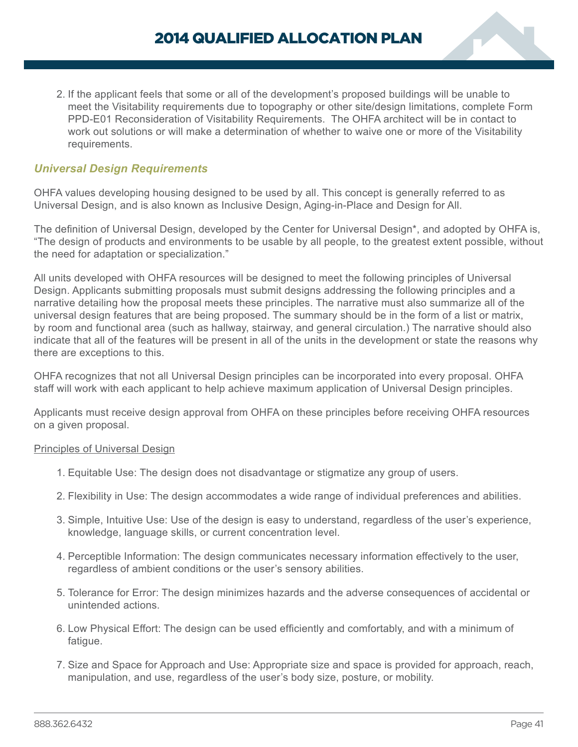2. If the applicant feels that some or all of the development's proposed buildings will be unable to meet the Visitability requirements due to topography or other site/design limitations, complete Form PPD-E01 Reconsideration of Visitability Requirements. The OHFA architect will be in contact to work out solutions or will make a determination of whether to waive one or more of the Visitability requirements.

## *Universal Design Requirements*

OHFA values developing housing designed to be used by all. This concept is generally referred to as Universal Design, and is also known as Inclusive Design, Aging-in-Place and Design for All.

The definition of Universal Design, developed by the Center for Universal Design\*, and adopted by OHFA is, "The design of products and environments to be usable by all people, to the greatest extent possible, without the need for adaptation or specialization."

All units developed with OHFA resources will be designed to meet the following principles of Universal Design. Applicants submitting proposals must submit designs addressing the following principles and a narrative detailing how the proposal meets these principles. The narrative must also summarize all of the universal design features that are being proposed. The summary should be in the form of a list or matrix, by room and functional area (such as hallway, stairway, and general circulation.) The narrative should also indicate that all of the features will be present in all of the units in the development or state the reasons why there are exceptions to this.

OHFA recognizes that not all Universal Design principles can be incorporated into every proposal. OHFA staff will work with each applicant to help achieve maximum application of Universal Design principles.

Applicants must receive design approval from OHFA on these principles before receiving OHFA resources on a given proposal.

#### Principles of Universal Design

- 1. Equitable Use: The design does not disadvantage or stigmatize any group of users.
- 2. Flexibility in Use: The design accommodates a wide range of individual preferences and abilities.
- 3. Simple, Intuitive Use: Use of the design is easy to understand, regardless of the user's experience, knowledge, language skills, or current concentration level.
- 4. Perceptible Information: The design communicates necessary information effectively to the user, regardless of ambient conditions or the user's sensory abilities.
- 5. Tolerance for Error: The design minimizes hazards and the adverse consequences of accidental or unintended actions.
- 6. Low Physical Effort: The design can be used efficiently and comfortably, and with a minimum of fatigue.
- 7. Size and Space for Approach and Use: Appropriate size and space is provided for approach, reach, manipulation, and use, regardless of the user's body size, posture, or mobility.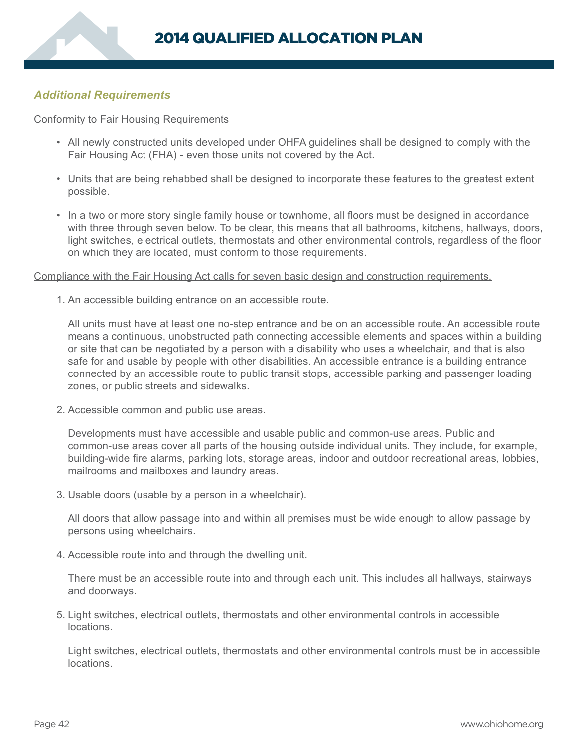## *Additional Requirements*

#### Conformity to Fair Housing Requirements

- All newly constructed units developed under OHFA guidelines shall be designed to comply with the Fair Housing Act (FHA) - even those units not covered by the Act.
- Units that are being rehabbed shall be designed to incorporate these features to the greatest extent possible.
- In a two or more story single family house or townhome, all floors must be designed in accordance with three through seven below. To be clear, this means that all bathrooms, kitchens, hallways, doors, light switches, electrical outlets, thermostats and other environmental controls, regardless of the floor on which they are located, must conform to those requirements.

#### Compliance with the Fair Housing Act calls for seven basic design and construction requirements.

1. An accessible building entrance on an accessible route.

All units must have at least one no-step entrance and be on an accessible route. An accessible route means a continuous, unobstructed path connecting accessible elements and spaces within a building or site that can be negotiated by a person with a disability who uses a wheelchair, and that is also safe for and usable by people with other disabilities. An accessible entrance is a building entrance connected by an accessible route to public transit stops, accessible parking and passenger loading zones, or public streets and sidewalks.

2. Accessible common and public use areas.

Developments must have accessible and usable public and common-use areas. Public and common-use areas cover all parts of the housing outside individual units. They include, for example, building-wide fire alarms, parking lots, storage areas, indoor and outdoor recreational areas, lobbies, mailrooms and mailboxes and laundry areas.

3. Usable doors (usable by a person in a wheelchair).

All doors that allow passage into and within all premises must be wide enough to allow passage by persons using wheelchairs.

4. Accessible route into and through the dwelling unit.

There must be an accessible route into and through each unit. This includes all hallways, stairways and doorways.

5. Light switches, electrical outlets, thermostats and other environmental controls in accessible locations.

Light switches, electrical outlets, thermostats and other environmental controls must be in accessible locations.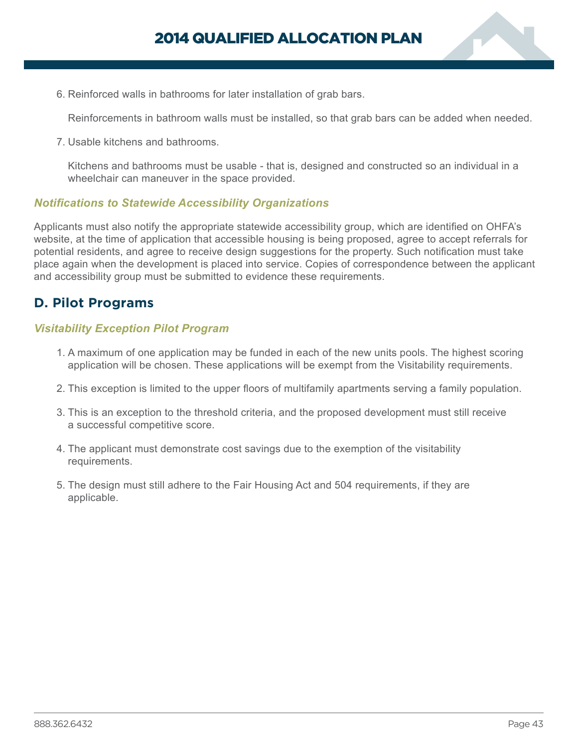

<span id="page-44-0"></span>6. Reinforced walls in bathrooms for later installation of grab bars.

Reinforcements in bathroom walls must be installed, so that grab bars can be added when needed.

7. Usable kitchens and bathrooms.

Kitchens and bathrooms must be usable - that is, designed and constructed so an individual in a wheelchair can maneuver in the space provided.

#### *Notifications to Statewide Accessibility Organizations*

Applicants must also notify the appropriate statewide accessibility group, which are identified on OHFA's website, at the time of application that accessible housing is being proposed, agree to accept referrals for potential residents, and agree to receive design suggestions for the property. Such notification must take place again when the development is placed into service. Copies of correspondence between the applicant and accessibility group must be submitted to evidence these requirements.

# **D. Pilot Programs**

#### *Visitability Exception Pilot Program*

- 1. A maximum of one application may be funded in each of the new units pools. The highest scoring application will be chosen. These applications will be exempt from the Visitability requirements.
- 2. This exception is limited to the upper floors of multifamily apartments serving a family population.
- 3. This is an exception to the threshold criteria, and the proposed development must still receive a successful competitive score.
- 4. The applicant must demonstrate cost savings due to the exemption of the visitability requirements.
- 5. The design must still adhere to the Fair Housing Act and 504 requirements, if they are applicable.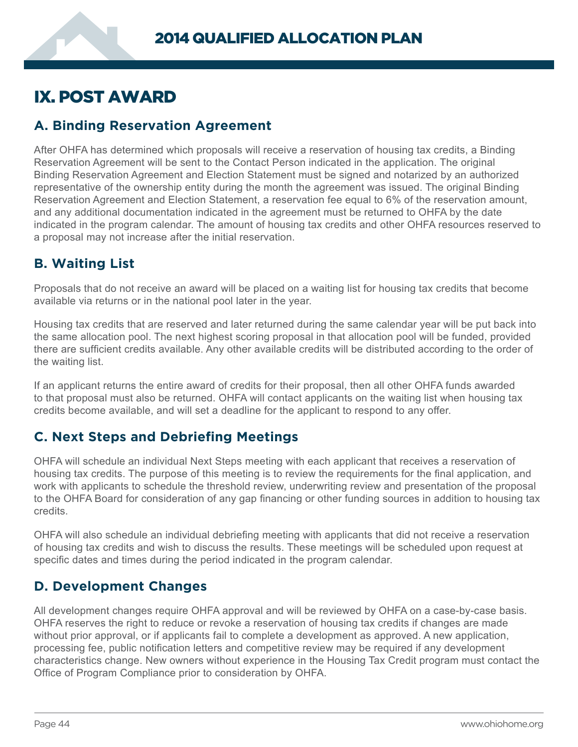# <span id="page-45-0"></span>IX. POST AWARD

# **A. Binding Reservation Agreement**

After OHFA has determined which proposals will receive a reservation of housing tax credits, a Binding Reservation Agreement will be sent to the Contact Person indicated in the application. The original Binding Reservation Agreement and Election Statement must be signed and notarized by an authorized representative of the ownership entity during the month the agreement was issued. The original Binding Reservation Agreement and Election Statement, a reservation fee equal to 6% of the reservation amount, and any additional documentation indicated in the agreement must be returned to OHFA by the date indicated in the program calendar. The amount of housing tax credits and other OHFA resources reserved to a proposal may not increase after the initial reservation.

# **B. Waiting List**

Proposals that do not receive an award will be placed on a waiting list for housing tax credits that become available via returns or in the national pool later in the year.

Housing tax credits that are reserved and later returned during the same calendar year will be put back into the same allocation pool. The next highest scoring proposal in that allocation pool will be funded, provided there are sufficient credits available. Any other available credits will be distributed according to the order of the waiting list.

If an applicant returns the entire award of credits for their proposal, then all other OHFA funds awarded to that proposal must also be returned. OHFA will contact applicants on the waiting list when housing tax credits become available, and will set a deadline for the applicant to respond to any offer.

# **C. Next Steps and Debriefing Meetings**

OHFA will schedule an individual Next Steps meeting with each applicant that receives a reservation of housing tax credits. The purpose of this meeting is to review the requirements for the final application, and work with applicants to schedule the threshold review, underwriting review and presentation of the proposal to the OHFA Board for consideration of any gap financing or other funding sources in addition to housing tax credits.

OHFA will also schedule an individual debriefing meeting with applicants that did not receive a reservation of housing tax credits and wish to discuss the results. These meetings will be scheduled upon request at specific dates and times during the period indicated in the program calendar.

# **D. Development Changes**

All development changes require OHFA approval and will be reviewed by OHFA on a case-by-case basis. OHFA reserves the right to reduce or revoke a reservation of housing tax credits if changes are made without prior approval, or if applicants fail to complete a development as approved. A new application, processing fee, public notification letters and competitive review may be required if any development characteristics change. New owners without experience in the Housing Tax Credit program must contact the Office of Program Compliance prior to consideration by OHFA.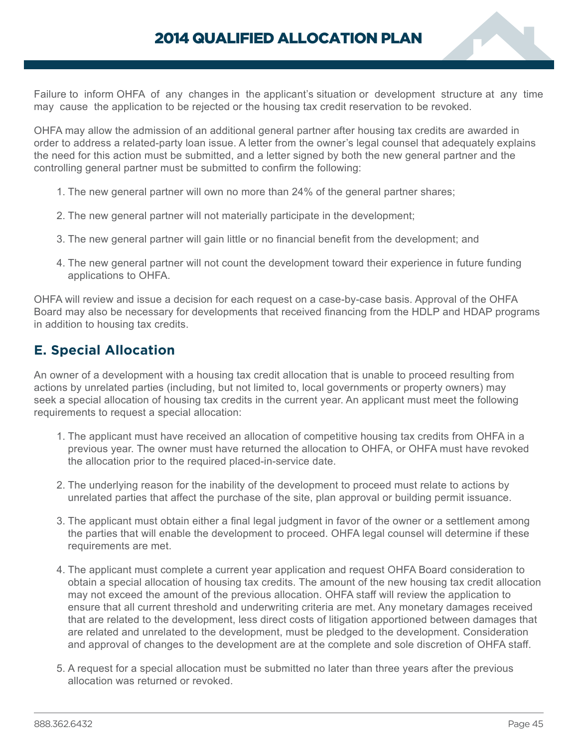<span id="page-46-0"></span>Failure to inform OHFA of any changes in the applicant's situation or development structure at any time may cause the application to be rejected or the housing tax credit reservation to be revoked.

OHFA may allow the admission of an additional general partner after housing tax credits are awarded in order to address a related-party loan issue. A letter from the owner's legal counsel that adequately explains the need for this action must be submitted, and a letter signed by both the new general partner and the controlling general partner must be submitted to confirm the following:

- 1. The new general partner will own no more than 24% of the general partner shares;
- 2. The new general partner will not materially participate in the development;
- 3. The new general partner will gain little or no financial benefit from the development; and
- 4. The new general partner will not count the development toward their experience in future funding applications to OHFA.

OHFA will review and issue a decision for each request on a case-by-case basis. Approval of the OHFA Board may also be necessary for developments that received financing from the HDLP and HDAP programs in addition to housing tax credits.

# **E. Special Allocation**

An owner of a development with a housing tax credit allocation that is unable to proceed resulting from actions by unrelated parties (including, but not limited to, local governments or property owners) may seek a special allocation of housing tax credits in the current year. An applicant must meet the following requirements to request a special allocation:

- 1. The applicant must have received an allocation of competitive housing tax credits from OHFA in a previous year. The owner must have returned the allocation to OHFA, or OHFA must have revoked the allocation prior to the required placed-in-service date.
- 2. The underlying reason for the inability of the development to proceed must relate to actions by unrelated parties that affect the purchase of the site, plan approval or building permit issuance.
- 3. The applicant must obtain either a final legal judgment in favor of the owner or a settlement among the parties that will enable the development to proceed. OHFA legal counsel will determine if these requirements are met.
- 4. The applicant must complete a current year application and request OHFA Board consideration to obtain a special allocation of housing tax credits. The amount of the new housing tax credit allocation may not exceed the amount of the previous allocation. OHFA staff will review the application to ensure that all current threshold and underwriting criteria are met. Any monetary damages received that are related to the development, less direct costs of litigation apportioned between damages that are related and unrelated to the development, must be pledged to the development. Consideration and approval of changes to the development are at the complete and sole discretion of OHFA staff.
- 5. A request for a special allocation must be submitted no later than three years after the previous allocation was returned or revoked.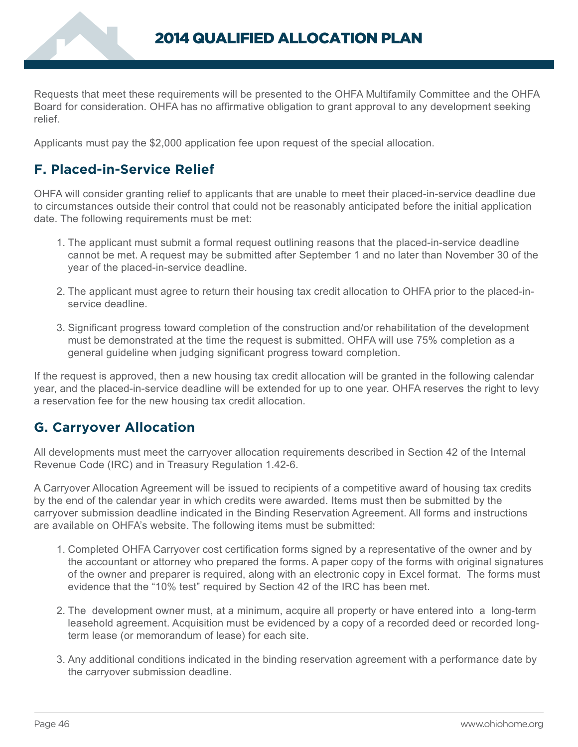<span id="page-47-0"></span>Requests that meet these requirements will be presented to the OHFA Multifamily Committee and the OHFA Board for consideration. OHFA has no affirmative obligation to grant approval to any development seeking relief.

Applicants must pay the \$2,000 application fee upon request of the special allocation.

# **F. Placed-in-Service Relief**

OHFA will consider granting relief to applicants that are unable to meet their placed-in-service deadline due to circumstances outside their control that could not be reasonably anticipated before the initial application date. The following requirements must be met:

- 1. The applicant must submit a formal request outlining reasons that the placed-in-service deadline cannot be met. A request may be submitted after September 1 and no later than November 30 of the year of the placed-in-service deadline.
- 2. The applicant must agree to return their housing tax credit allocation to OHFA prior to the placed-inservice deadline.
- 3. Significant progress toward completion of the construction and/or rehabilitation of the development must be demonstrated at the time the request is submitted. OHFA will use 75% completion as a general guideline when judging significant progress toward completion.

If the request is approved, then a new housing tax credit allocation will be granted in the following calendar year, and the placed-in-service deadline will be extended for up to one year. OHFA reserves the right to levy a reservation fee for the new housing tax credit allocation.

# **G. Carryover Allocation**

All developments must meet the carryover allocation requirements described in Section 42 of the Internal Revenue Code (IRC) and in Treasury Regulation 1.42-6.

A Carryover Allocation Agreement will be issued to recipients of a competitive award of housing tax credits by the end of the calendar year in which credits were awarded. Items must then be submitted by the carryover submission deadline indicated in the Binding Reservation Agreement. All forms and instructions are available on OHFA's website. The following items must be submitted:

- 1. Completed OHFA Carryover cost certification forms signed by a representative of the owner and by the accountant or attorney who prepared the forms. A paper copy of the forms with original signatures of the owner and preparer is required, along with an electronic copy in Excel format. The forms must evidence that the "10% test" required by Section 42 of the IRC has been met.
- 2. The development owner must, at a minimum, acquire all property or have entered into a long-term leasehold agreement. Acquisition must be evidenced by a copy of a recorded deed or recorded longterm lease (or memorandum of lease) for each site.
- 3. Any additional conditions indicated in the binding reservation agreement with a performance date by the carryover submission deadline.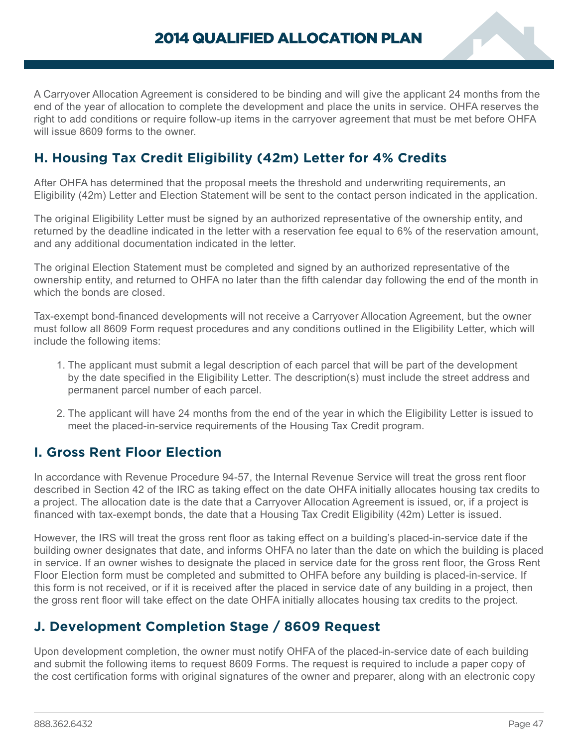<span id="page-48-0"></span>A Carryover Allocation Agreement is considered to be binding and will give the applicant 24 months from the end of the year of allocation to complete the development and place the units in service. OHFA reserves the right to add conditions or require follow-up items in the carryover agreement that must be met before OHFA will issue 8609 forms to the owner

# **H. Housing Tax Credit Eligibility (42m) Letter for 4% Credits**

After OHFA has determined that the proposal meets the threshold and underwriting requirements, an Eligibility (42m) Letter and Election Statement will be sent to the contact person indicated in the application.

The original Eligibility Letter must be signed by an authorized representative of the ownership entity, and returned by the deadline indicated in the letter with a reservation fee equal to 6% of the reservation amount, and any additional documentation indicated in the letter.

The original Election Statement must be completed and signed by an authorized representative of the ownership entity, and returned to OHFA no later than the fifth calendar day following the end of the month in which the bonds are closed.

Tax-exempt bond-financed developments will not receive a Carryover Allocation Agreement, but the owner must follow all 8609 Form request procedures and any conditions outlined in the Eligibility Letter, which will include the following items:

- 1. The applicant must submit a legal description of each parcel that will be part of the development by the date specified in the Eligibility Letter. The description(s) must include the street address and permanent parcel number of each parcel.
- 2. The applicant will have 24 months from the end of the year in which the Eligibility Letter is issued to meet the placed-in-service requirements of the Housing Tax Credit program.

# **I. Gross Rent Floor Election**

In accordance with Revenue Procedure 94-57, the Internal Revenue Service will treat the gross rent floor described in Section 42 of the IRC as taking effect on the date OHFA initially allocates housing tax credits to a project. The allocation date is the date that a Carryover Allocation Agreement is issued, or, if a project is financed with tax-exempt bonds, the date that a Housing Tax Credit Eligibility (42m) Letter is issued.

However, the IRS will treat the gross rent floor as taking effect on a building's placed-in-service date if the building owner designates that date, and informs OHFA no later than the date on which the building is placed in service. If an owner wishes to designate the placed in service date for the gross rent floor, the Gross Rent Floor Election form must be completed and submitted to OHFA before any building is placed-in-service. If this form is not received, or if it is received after the placed in service date of any building in a project, then the gross rent floor will take effect on the date OHFA initially allocates housing tax credits to the project.

# **J. Development Completion Stage / 8609 Request**

Upon development completion, the owner must notify OHFA of the placed-in-service date of each building and submit the following items to request 8609 Forms. The request is required to include a paper copy of the cost certification forms with original signatures of the owner and preparer, along with an electronic copy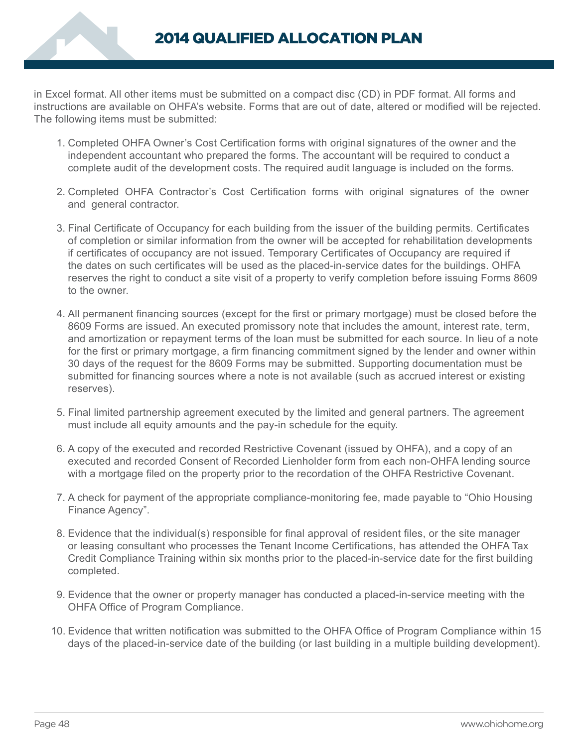

in Excel format. All other items must be submitted on a compact disc (CD) in PDF format. All forms and instructions are available on OHFA's website. Forms that are out of date, altered or modified will be rejected. The following items must be submitted:

- 1. Completed OHFA Owner's Cost Certification forms with original signatures of the owner and the independent accountant who prepared the forms. The accountant will be required to conduct a complete audit of the development costs. The required audit language is included on the forms.
- 2. Completed OHFA Contractor's Cost Certification forms with original signatures of the owner and general contractor.
- 3. Final Certificate of Occupancy for each building from the issuer of the building permits. Certificates of completion or similar information from the owner will be accepted for rehabilitation developments if certificates of occupancy are not issued. Temporary Certificates of Occupancy are required if the dates on such certificates will be used as the placed-in-service dates for the buildings. OHFA reserves the right to conduct a site visit of a property to verify completion before issuing Forms 8609 to the owner.
- 4. All permanent financing sources (except for the first or primary mortgage) must be closed before the 8609 Forms are issued. An executed promissory note that includes the amount, interest rate, term, and amortization or repayment terms of the loan must be submitted for each source. In lieu of a note for the first or primary mortgage, a firm financing commitment signed by the lender and owner within 30 days of the request for the 8609 Forms may be submitted. Supporting documentation must be submitted for financing sources where a note is not available (such as accrued interest or existing reserves).
- 5. Final limited partnership agreement executed by the limited and general partners. The agreement must include all equity amounts and the pay-in schedule for the equity.
- 6. A copy of the executed and recorded Restrictive Covenant (issued by OHFA), and a copy of an executed and recorded Consent of Recorded Lienholder form from each non-OHFA lending source with a mortgage filed on the property prior to the recordation of the OHFA Restrictive Covenant.
- 7. A check for payment of the appropriate compliance-monitoring fee, made payable to "Ohio Housing Finance Agency".
- 8. Evidence that the individual(s) responsible for final approval of resident files, or the site manager or leasing consultant who processes the Tenant Income Certifications, has attended the OHFA Tax Credit Compliance Training within six months prior to the placed-in-service date for the first building completed.
- 9. Evidence that the owner or property manager has conducted a placed-in-service meeting with the OHFA Office of Program Compliance.
- 10. Evidence that written notification was submitted to the OHFA Office of Program Compliance within 15 days of the placed-in-service date of the building (or last building in a multiple building development).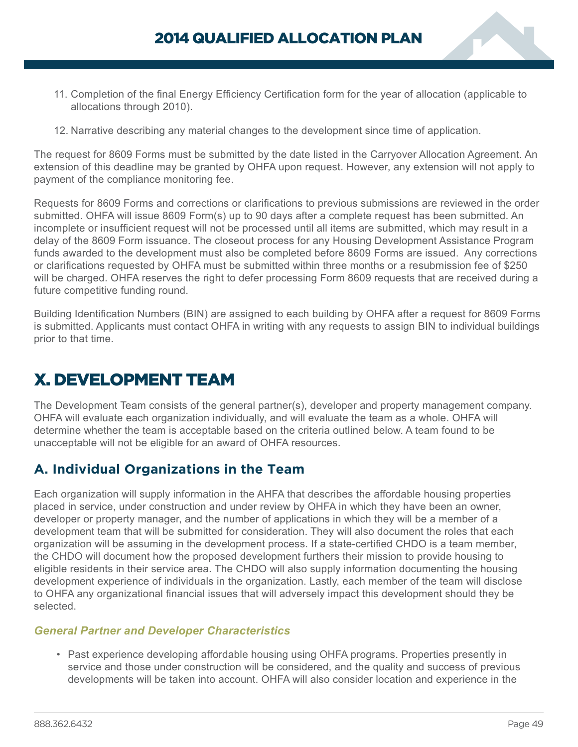- <span id="page-50-0"></span>11. Completion of the final Energy Efficiency Certification form for the year of allocation (applicable to allocations through 2010).
- 12. Narrative describing any material changes to the development since time of application.

The request for 8609 Forms must be submitted by the date listed in the Carryover Allocation Agreement. An extension of this deadline may be granted by OHFA upon request. However, any extension will not apply to payment of the compliance monitoring fee.

Requests for 8609 Forms and corrections or clarifications to previous submissions are reviewed in the order submitted. OHFA will issue 8609 Form(s) up to 90 days after a complete request has been submitted. An incomplete or insufficient request will not be processed until all items are submitted, which may result in a delay of the 8609 Form issuance. The closeout process for any Housing Development Assistance Program funds awarded to the development must also be completed before 8609 Forms are issued. Any corrections or clarifications requested by OHFA must be submitted within three months or a resubmission fee of \$250 will be charged. OHFA reserves the right to defer processing Form 8609 requests that are received during a future competitive funding round.

Building Identification Numbers (BIN) are assigned to each building by OHFA after a request for 8609 Forms is submitted. Applicants must contact OHFA in writing with any requests to assign BIN to individual buildings prior to that time.

# X. DEVELOPMENT TEAM

The Development Team consists of the general partner(s), developer and property management company. OHFA will evaluate each organization individually, and will evaluate the team as a whole. OHFA will determine whether the team is acceptable based on the criteria outlined below. A team found to be unacceptable will not be eligible for an award of OHFA resources.

# **A. Individual Organizations in the Team**

Each organization will supply information in the AHFA that describes the affordable housing properties placed in service, under construction and under review by OHFA in which they have been an owner, developer or property manager, and the number of applications in which they will be a member of a development team that will be submitted for consideration. They will also document the roles that each organization will be assuming in the development process. If a state-certified CHDO is a team member, the CHDO will document how the proposed development furthers their mission to provide housing to eligible residents in their service area. The CHDO will also supply information documenting the housing development experience of individuals in the organization. Lastly, each member of the team will disclose to OHFA any organizational financial issues that will adversely impact this development should they be selected.

# *General Partner and Developer Characteristics*

• Past experience developing affordable housing using OHFA programs. Properties presently in service and those under construction will be considered, and the quality and success of previous developments will be taken into account. OHFA will also consider location and experience in the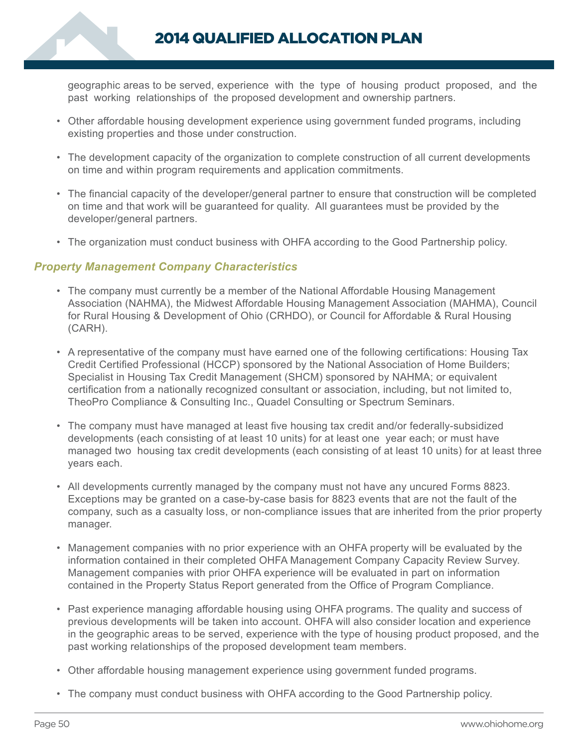2014 QUALIFIED ALLOCATION PLAN

geographic areas to be served, experience with the type of housing product proposed, and the past working relationships of the proposed development and ownership partners.

- Other affordable housing development experience using government funded programs, including existing properties and those under construction.
- The development capacity of the organization to complete construction of all current developments on time and within program requirements and application commitments.
- The financial capacity of the developer/general partner to ensure that construction will be completed on time and that work will be guaranteed for quality. All guarantees must be provided by the developer/general partners.
- The organization must conduct business with OHFA according to the Good Partnership policy.

### *Property Management Company Characteristics*

- The company must currently be a member of the National Affordable Housing Management Association (NAHMA), the Midwest Affordable Housing Management Association (MAHMA), Council for Rural Housing & Development of Ohio (CRHDO), or Council for Affordable & Rural Housing (CARH).
- A representative of the company must have earned one of the following certifications: Housing Tax Credit Certified Professional (HCCP) sponsored by the National Association of Home Builders; Specialist in Housing Tax Credit Management (SHCM) sponsored by NAHMA; or equivalent certification from a nationally recognized consultant or association, including, but not limited to, TheoPro Compliance & Consulting Inc., Quadel Consulting or Spectrum Seminars.
- The company must have managed at least five housing tax credit and/or federally-subsidized developments (each consisting of at least 10 units) for at least one year each; or must have managed two housing tax credit developments (each consisting of at least 10 units) for at least three years each.
- All developments currently managed by the company must not have any uncured Forms 8823. Exceptions may be granted on a case-by-case basis for 8823 events that are not the fault of the company, such as a casualty loss, or non-compliance issues that are inherited from the prior property manager.
- Management companies with no prior experience with an OHFA property will be evaluated by the information contained in their completed OHFA Management Company Capacity Review Survey. Management companies with prior OHFA experience will be evaluated in part on information contained in the Property Status Report generated from the Office of Program Compliance.
- Past experience managing affordable housing using OHFA programs. The quality and success of previous developments will be taken into account. OHFA will also consider location and experience in the geographic areas to be served, experience with the type of housing product proposed, and the past working relationships of the proposed development team members.
- Other affordable housing management experience using government funded programs.
- The company must conduct business with OHFA according to the Good Partnership policy.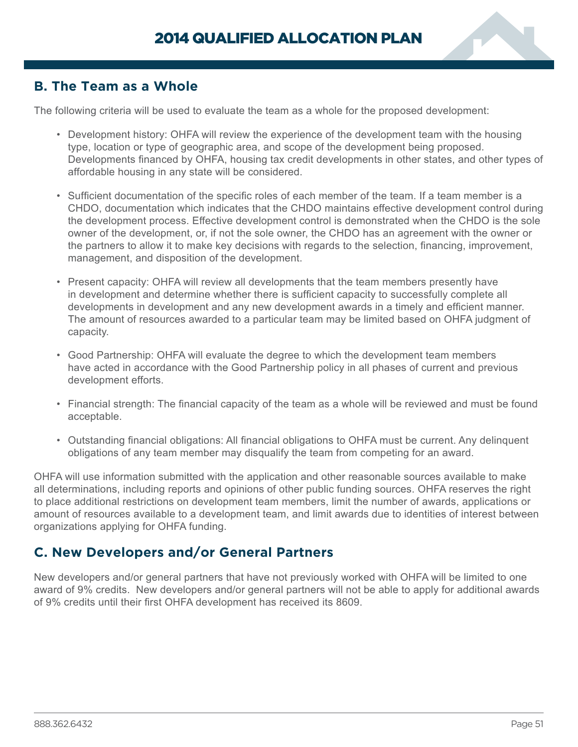

# <span id="page-52-0"></span>**B. The Team as a Whole**

The following criteria will be used to evaluate the team as a whole for the proposed development:

- Development history: OHFA will review the experience of the development team with the housing type, location or type of geographic area, and scope of the development being proposed. Developments financed by OHFA, housing tax credit developments in other states, and other types of affordable housing in any state will be considered.
- Sufficient documentation of the specific roles of each member of the team. If a team member is a CHDO, documentation which indicates that the CHDO maintains effective development control during the development process. Effective development control is demonstrated when the CHDO is the sole owner of the development, or, if not the sole owner, the CHDO has an agreement with the owner or the partners to allow it to make key decisions with regards to the selection, financing, improvement, management, and disposition of the development.
- Present capacity: OHFA will review all developments that the team members presently have in development and determine whether there is sufficient capacity to successfully complete all developments in development and any new development awards in a timely and efficient manner. The amount of resources awarded to a particular team may be limited based on OHFA judgment of capacity.
- Good Partnership: OHFA will evaluate the degree to which the development team members have acted in accordance with the Good Partnership policy in all phases of current and previous development efforts.
- Financial strength: The financial capacity of the team as a whole will be reviewed and must be found acceptable.
- Outstanding financial obligations: All financial obligations to OHFA must be current. Any delinquent obligations of any team member may disqualify the team from competing for an award.

OHFA will use information submitted with the application and other reasonable sources available to make all determinations, including reports and opinions of other public funding sources. OHFA reserves the right to place additional restrictions on development team members, limit the number of awards, applications or amount of resources available to a development team, and limit awards due to identities of interest between organizations applying for OHFA funding.

# **C. New Developers and/or General Partners**

New developers and/or general partners that have not previously worked with OHFA will be limited to one award of 9% credits. New developers and/or general partners will not be able to apply for additional awards of 9% credits until their first OHFA development has received its 8609.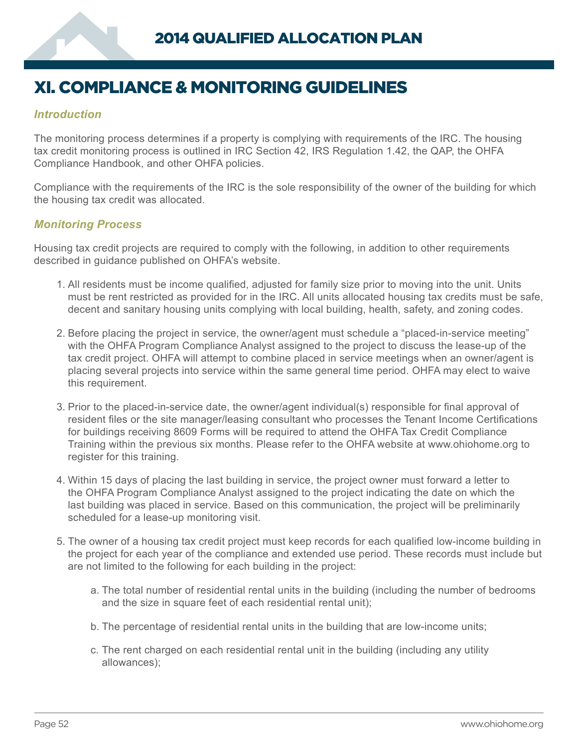# <span id="page-53-0"></span>XI. COMPLIANCE & MONITORING GUIDELINES

## *Introduction*

The monitoring process determines if a property is complying with requirements of the IRC. The housing tax credit monitoring process is outlined in IRC Section 42, IRS Regulation 1.42, the QAP, the OHFA Compliance Handbook, and other OHFA policies.

Compliance with the requirements of the IRC is the sole responsibility of the owner of the building for which the housing tax credit was allocated.

#### *Monitoring Process*

Housing tax credit projects are required to comply with the following, in addition to other requirements described in guidance published on OHFA's website.

- 1. All residents must be income qualified, adjusted for family size prior to moving into the unit. Units must be rent restricted as provided for in the IRC. All units allocated housing tax credits must be safe, decent and sanitary housing units complying with local building, health, safety, and zoning codes.
- 2. Before placing the project in service, the owner/agent must schedule a "placed-in-service meeting" with the OHFA Program Compliance Analyst assigned to the project to discuss the lease-up of the tax credit project. OHFA will attempt to combine placed in service meetings when an owner/agent is placing several projects into service within the same general time period. OHFA may elect to waive this requirement.
- 3. Prior to the placed-in-service date, the owner/agent individual(s) responsible for final approval of resident files or the site manager/leasing consultant who processes the Tenant Income Certifications for buildings receiving 8609 Forms will be required to attend the OHFA Tax Credit Compliance Training within the previous six months. Please refer to the OHFA website at www.ohiohome.org to register for this training.
- 4. Within 15 days of placing the last building in service, the project owner must forward a letter to the OHFA Program Compliance Analyst assigned to the project indicating the date on which the last building was placed in service. Based on this communication, the project will be preliminarily scheduled for a lease-up monitoring visit.
- 5. The owner of a housing tax credit project must keep records for each qualified low-income building in the project for each year of the compliance and extended use period. These records must include but are not limited to the following for each building in the project:
	- a. The total number of residential rental units in the building (including the number of bedrooms and the size in square feet of each residential rental unit);
	- b. The percentage of residential rental units in the building that are low-income units;
	- c. The rent charged on each residential rental unit in the building (including any utility allowances);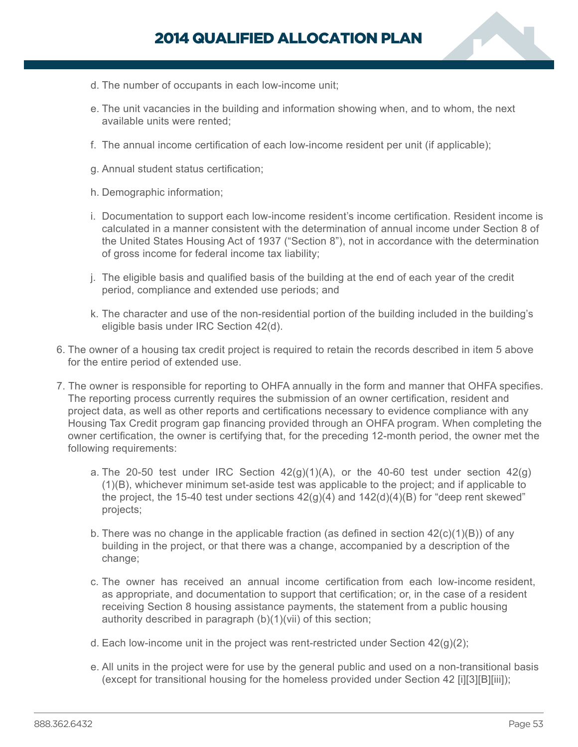- d. The number of occupants in each low-income unit;
- e. The unit vacancies in the building and information showing when, and to whom, the next available units were rented;
- f. The annual income certification of each low-income resident per unit (if applicable);
- g. Annual student status certification;
- h. Demographic information;
- i. Documentation to support each low-income resident's income certification. Resident income is calculated in a manner consistent with the determination of annual income under Section 8 of the United States Housing Act of 1937 ("Section 8"), not in accordance with the determination of gross income for federal income tax liability;
- j. The eligible basis and qualified basis of the building at the end of each year of the credit period, compliance and extended use periods; and
- k. The character and use of the non-residential portion of the building included in the building's eligible basis under IRC Section 42(d).
- 6. The owner of a housing tax credit project is required to retain the records described in item 5 above for the entire period of extended use.
- 7. The owner is responsible for reporting to OHFA annually in the form and manner that OHFA specifies. The reporting process currently requires the submission of an owner certification, resident and project data, as well as other reports and certifications necessary to evidence compliance with any Housing Tax Credit program gap financing provided through an OHFA program. When completing the owner certification, the owner is certifying that, for the preceding 12-month period, the owner met the following requirements:
	- a. The 20-50 test under IRC Section  $42(g)(1)(A)$ , or the 40-60 test under section  $42(g)$ (1)(B), whichever minimum set-aside test was applicable to the project; and if applicable to the project, the 15-40 test under sections  $42(q)(4)$  and  $142(d)(4)(B)$  for "deep rent skewed" projects;
	- b. There was no change in the applicable fraction (as defined in section  $42(c)(1)(B)$ ) of any building in the project, or that there was a change, accompanied by a description of the change;
	- c. The owner has received an annual income certification from each low-income resident, as appropriate, and documentation to support that certification; or, in the case of a resident receiving Section 8 housing assistance payments, the statement from a public housing authority described in paragraph (b)(1)(vii) of this section;
	- d. Each low-income unit in the project was rent-restricted under Section 42(g)(2);
	- e. All units in the project were for use by the general public and used on a non-transitional basis (except for transitional housing for the homeless provided under Section 42 [i][3][B][iii]);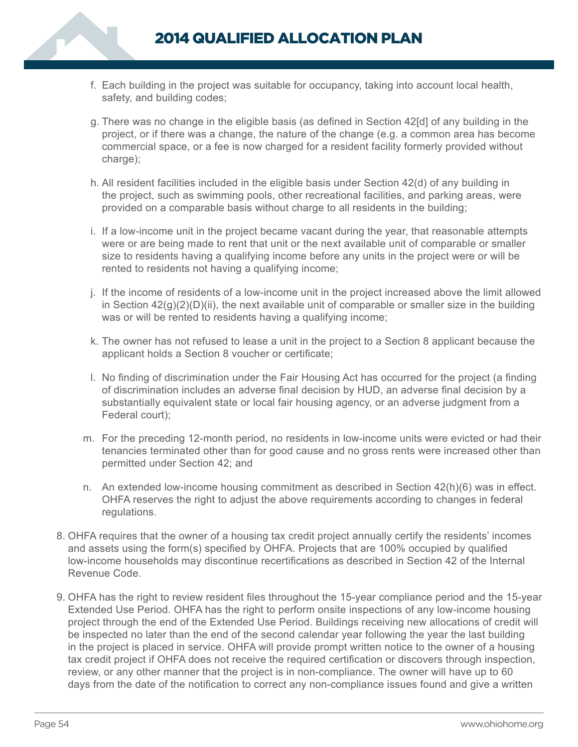

- f. Each building in the project was suitable for occupancy, taking into account local health, safety, and building codes;
- g. There was no change in the eligible basis (as defined in Section 42[d] of any building in the project, or if there was a change, the nature of the change (e.g. a common area has become commercial space, or a fee is now charged for a resident facility formerly provided without charge);
- h. All resident facilities included in the eligible basis under Section 42(d) of any building in the project, such as swimming pools, other recreational facilities, and parking areas, were provided on a comparable basis without charge to all residents in the building;
- i. If a low-income unit in the project became vacant during the year, that reasonable attempts were or are being made to rent that unit or the next available unit of comparable or smaller size to residents having a qualifying income before any units in the project were or will be rented to residents not having a qualifying income;
- j. If the income of residents of a low-income unit in the project increased above the limit allowed in Section  $42(q)(2)(D)(ii)$ , the next available unit of comparable or smaller size in the building was or will be rented to residents having a qualifying income;
- k. The owner has not refused to lease a unit in the project to a Section 8 applicant because the applicant holds a Section 8 voucher or certificate;
- l. No finding of discrimination under the Fair Housing Act has occurred for the project (a finding of discrimination includes an adverse final decision by HUD, an adverse final decision by a substantially equivalent state or local fair housing agency, or an adverse judgment from a Federal court);
- m. For the preceding 12-month period, no residents in low-income units were evicted or had their tenancies terminated other than for good cause and no gross rents were increased other than permitted under Section 42; and
- n. An extended low-income housing commitment as described in Section 42(h)(6) was in effect. OHFA reserves the right to adjust the above requirements according to changes in federal regulations.
- 8. OHFA requires that the owner of a housing tax credit project annually certify the residents' incomes and assets using the form(s) specified by OHFA. Projects that are 100% occupied by qualified low-income households may discontinue recertifications as described in Section 42 of the Internal Revenue Code.
- 9. OHFA has the right to review resident files throughout the 15-year compliance period and the 15-year Extended Use Period. OHFA has the right to perform onsite inspections of any low-income housing project through the end of the Extended Use Period. Buildings receiving new allocations of credit will be inspected no later than the end of the second calendar year following the year the last building in the project is placed in service. OHFA will provide prompt written notice to the owner of a housing tax credit project if OHFA does not receive the required certification or discovers through inspection, review, or any other manner that the project is in non-compliance. The owner will have up to 60 days from the date of the notification to correct any non-compliance issues found and give a written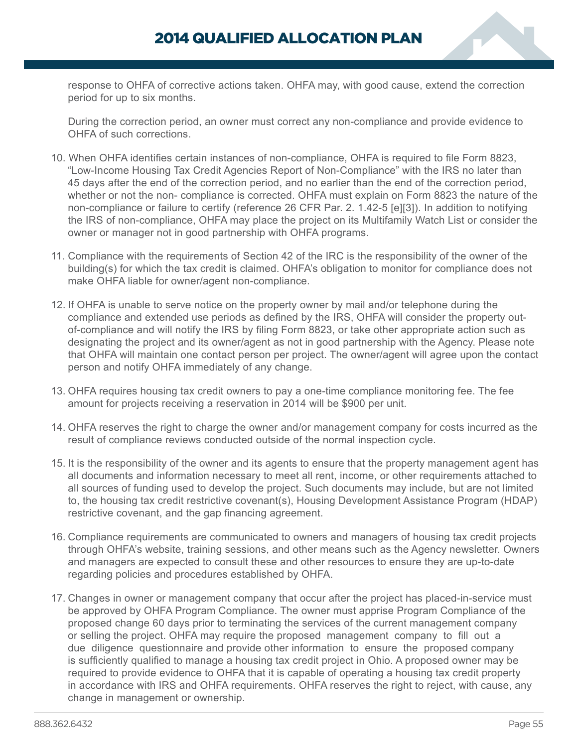response to OHFA of corrective actions taken. OHFA may, with good cause, extend the correction period for up to six months.

During the correction period, an owner must correct any non-compliance and provide evidence to OHFA of such corrections.

- 10. When OHFA identifies certain instances of non-compliance, OHFA is required to file Form 8823, "Low-Income Housing Tax Credit Agencies Report of Non-Compliance" with the IRS no later than 45 days after the end of the correction period, and no earlier than the end of the correction period, whether or not the non- compliance is corrected. OHFA must explain on Form 8823 the nature of the non-compliance or failure to certify (reference 26 CFR Par. 2. 1.42-5 [e][3]). In addition to notifying the IRS of non-compliance, OHFA may place the project on its Multifamily Watch List or consider the owner or manager not in good partnership with OHFA programs.
- 11. Compliance with the requirements of Section 42 of the IRC is the responsibility of the owner of the building(s) for which the tax credit is claimed. OHFA's obligation to monitor for compliance does not make OHFA liable for owner/agent non-compliance.
- 12. If OHFA is unable to serve notice on the property owner by mail and/or telephone during the compliance and extended use periods as defined by the IRS, OHFA will consider the property outof-compliance and will notify the IRS by filing Form 8823, or take other appropriate action such as designating the project and its owner/agent as not in good partnership with the Agency. Please note that OHFA will maintain one contact person per project. The owner/agent will agree upon the contact person and notify OHFA immediately of any change.
- 13. OHFA requires housing tax credit owners to pay a one-time compliance monitoring fee. The fee amount for projects receiving a reservation in 2014 will be \$900 per unit.
- 14. OHFA reserves the right to charge the owner and/or management company for costs incurred as the result of compliance reviews conducted outside of the normal inspection cycle.
- 15. It is the responsibility of the owner and its agents to ensure that the property management agent has all documents and information necessary to meet all rent, income, or other requirements attached to all sources of funding used to develop the project. Such documents may include, but are not limited to, the housing tax credit restrictive covenant(s), Housing Development Assistance Program (HDAP) restrictive covenant, and the gap financing agreement.
- 16. Compliance requirements are communicated to owners and managers of housing tax credit projects through OHFA's website, training sessions, and other means such as the Agency newsletter. Owners and managers are expected to consult these and other resources to ensure they are up-to-date regarding policies and procedures established by OHFA.
- 17. Changes in owner or management company that occur after the project has placed-in-service must be approved by OHFA Program Compliance. The owner must apprise Program Compliance of the proposed change 60 days prior to terminating the services of the current management company or selling the project. OHFA may require the proposed management company to fill out a due diligence questionnaire and provide other information to ensure the proposed company is sufficiently qualified to manage a housing tax credit project in Ohio. A proposed owner may be required to provide evidence to OHFA that it is capable of operating a housing tax credit property in accordance with IRS and OHFA requirements. OHFA reserves the right to reject, with cause, any change in management or ownership.